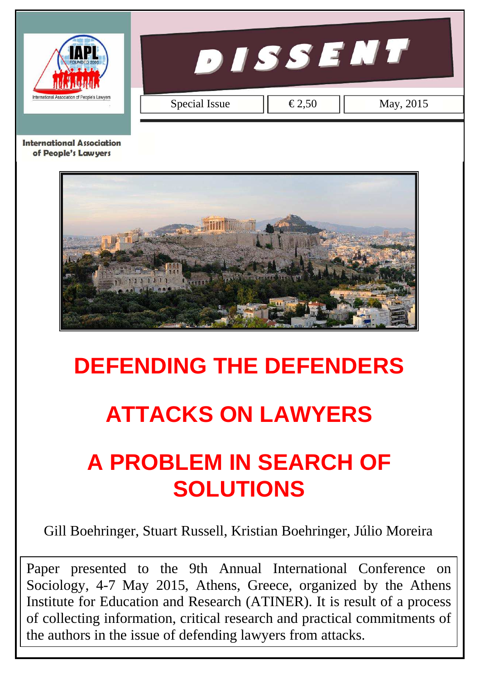

**DISSENT** 

Special Issue  $\left| \left| \right| \in 2.50 \right|$  May, 2015

**International Association** of People's Lawyers



# **DEFENDING THE DEFENDERS**

# **ATTACKS ON LAWYERS**

# **A PROBLEM IN SEARCH OF SOLUTIONS**

Gill Boehringer, Stuart Russell, Kristian Boehringer, Júlio Moreira

Paper presented to the 9th Annual International Conference on Sociology, 4-7 May 2015, Athens, Greece, organized by the Athens Institute for Education and Research (ATINER). It is result of a process of collecting information, critical research and practical commitments of the authors in the issue of defending lawyers from attacks.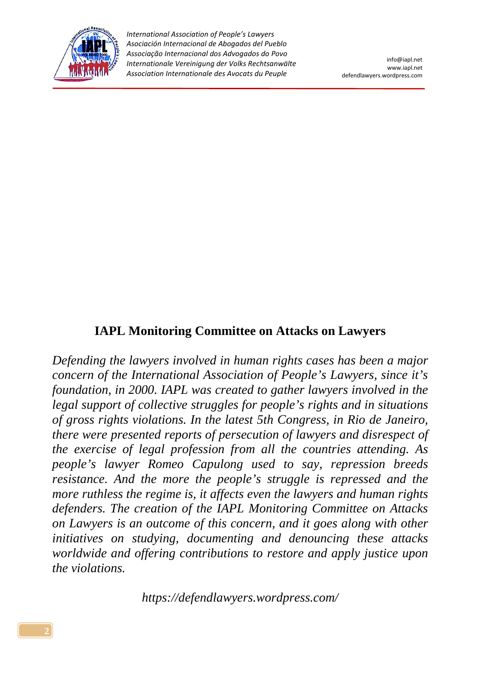

## **IAPL Monitoring Committee on Attacks on Lawyers**

*Defending the lawyers involved in human rights cases has been a major concern of the International Association of People's Lawyers, since it's foundation, in 2000. IAPL was created to gather lawyers involved in the legal support of collective struggles for people's rights and in situations of gross rights violations. In the latest 5th Congress, in Rio de Janeiro, there were presented reports of persecution of lawyers and disrespect of the exercise of legal profession from all the countries attending. As people's lawyer Romeo Capulong used to say, repression breeds resistance. And the more the people's struggle is repressed and the more ruthless the regime is, it affects even the lawyers and human rights defenders. The creation of the IAPL Monitoring Committee on Attacks on Lawyers is an outcome of this concern, and it goes along with other initiatives on studying, documenting and denouncing these attacks worldwide and offering contributions to restore and apply justice upon the violations.* 

*https://defendlawyers.wordpress.com/*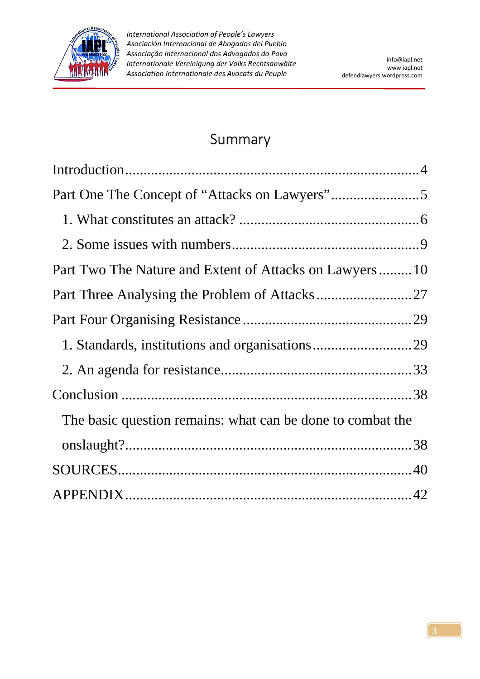

# Summary

| Part Two The Nature and Extent of Attacks on Lawyers10     |  |
|------------------------------------------------------------|--|
|                                                            |  |
|                                                            |  |
|                                                            |  |
|                                                            |  |
|                                                            |  |
| The basic question remains: what can be done to combat the |  |
|                                                            |  |
|                                                            |  |
|                                                            |  |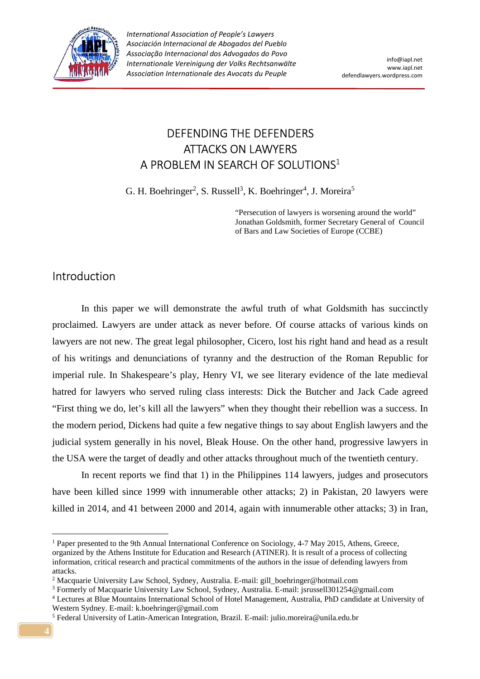

# DEFENDING THE DEFENDERS ATTACKS ON LAWYERS A PROBLEM IN SEARCH OF SOLUTIONS $^1$

G. H. Boehringer<sup>2</sup>, S. Russell<sup>3</sup>, K. Boehringer<sup>4</sup>, J. Moreira<sup>5</sup>

"Persecution of lawyers is worsening around the world" Jonathan Goldsmith, former Secretary General of Council of Bars and Law Societies of Europe (CCBE)

## Introduction

 In this paper we will demonstrate the awful truth of what Goldsmith has succinctly proclaimed. Lawyers are under attack as never before. Of course attacks of various kinds on lawyers are not new. The great legal philosopher, Cicero, lost his right hand and head as a result of his writings and denunciations of tyranny and the destruction of the Roman Republic for imperial rule. In Shakespeare's play, Henry VI, we see literary evidence of the late medieval hatred for lawyers who served ruling class interests: Dick the Butcher and Jack Cade agreed "First thing we do, let's kill all the lawyers" when they thought their rebellion was a success. In the modern period, Dickens had quite a few negative things to say about English lawyers and the judicial system generally in his novel, Bleak House. On the other hand, progressive lawyers in the USA were the target of deadly and other attacks throughout much of the twentieth century.

 In recent reports we find that 1) in the Philippines 114 lawyers, judges and prosecutors have been killed since 1999 with innumerable other attacks; 2) in Pakistan, 20 lawyers were killed in 2014, and 41 between 2000 and 2014, again with innumerable other attacks; 3) in Iran,

 $\overline{a}$ 

<sup>&</sup>lt;sup>1</sup> Paper presented to the 9th Annual International Conference on Sociology, 4-7 May 2015, Athens, Greece, organized by the Athens Institute for Education and Research (ATINER). It is result of a process of collecting information, critical research and practical commitments of the authors in the issue of defending lawyers from attacks.

<sup>2</sup> Macquarie University Law School, Sydney, Australia. E-mail: gill\_boehringer@hotmail.com

<sup>&</sup>lt;sup>3</sup> Formerly of Macquarie University Law School, Sydney, Australia. E-mail: jsrussell301254@gmail.com

<sup>4</sup> Lectures at Blue Mountains International School of Hotel Management, Australia, PhD candidate at University of Western Sydney. E-mail: k.boehringer@gmail.com

<sup>5</sup> Federal University of Latin-American Integration, Brazil. E-mail: julio.moreira@unila.edu.br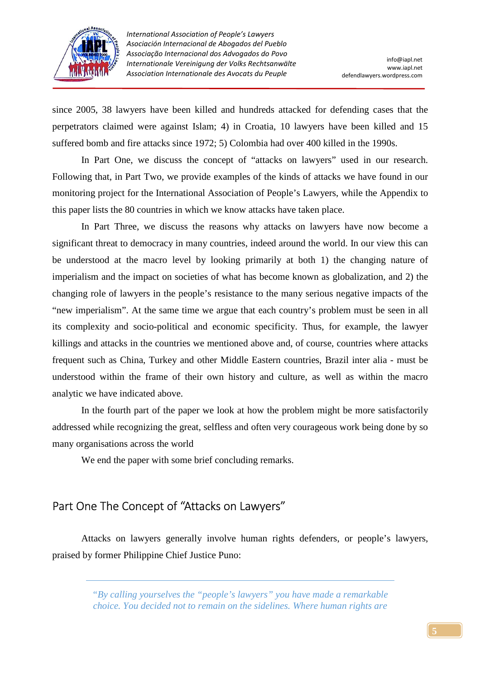

since 2005, 38 lawyers have been killed and hundreds attacked for defending cases that the perpetrators claimed were against Islam; 4) in Croatia, 10 lawyers have been killed and 15 suffered bomb and fire attacks since 1972; 5) Colombia had over 400 killed in the 1990s.

 In Part One, we discuss the concept of "attacks on lawyers" used in our research. Following that, in Part Two, we provide examples of the kinds of attacks we have found in our monitoring project for the International Association of People's Lawyers, while the Appendix to this paper lists the 80 countries in which we know attacks have taken place.

 In Part Three, we discuss the reasons why attacks on lawyers have now become a significant threat to democracy in many countries, indeed around the world. In our view this can be understood at the macro level by looking primarily at both 1) the changing nature of imperialism and the impact on societies of what has become known as globalization, and 2) the changing role of lawyers in the people's resistance to the many serious negative impacts of the "new imperialism". At the same time we argue that each country's problem must be seen in all its complexity and socio-political and economic specificity. Thus, for example, the lawyer killings and attacks in the countries we mentioned above and, of course, countries where attacks frequent such as China, Turkey and other Middle Eastern countries, Brazil inter alia - must be understood within the frame of their own history and culture, as well as within the macro analytic we have indicated above.

 In the fourth part of the paper we look at how the problem might be more satisfactorily addressed while recognizing the great, selfless and often very courageous work being done by so many organisations across the world

We end the paper with some brief concluding remarks.

# Part One The Concept of "Attacks on Lawyers"

 Attacks on lawyers generally involve human rights defenders, or people's lawyers, praised by former Philippine Chief Justice Puno:

> *"By calling yourselves the "people's lawyers" you have made a remarkable choice. You decided not to remain on the sidelines. Where human rights are*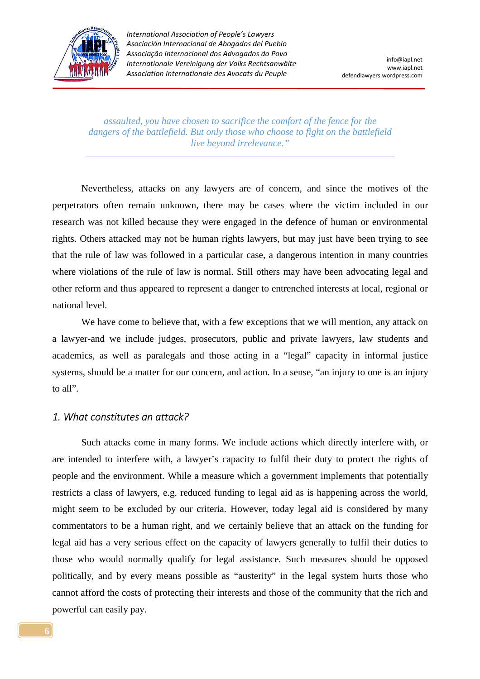

*assaulted, you have chosen to sacrifice the comfort of the fence for the dangers of the battlefield. But only those who choose to fight on the battlefield live beyond irrelevance."* 

 Nevertheless, attacks on any lawyers are of concern, and since the motives of the perpetrators often remain unknown, there may be cases where the victim included in our research was not killed because they were engaged in the defence of human or environmental rights. Others attacked may not be human rights lawyers, but may just have been trying to see that the rule of law was followed in a particular case, a dangerous intention in many countries where violations of the rule of law is normal. Still others may have been advocating legal and other reform and thus appeared to represent a danger to entrenched interests at local, regional or national level.

We have come to believe that, with a few exceptions that we will mention, any attack on a lawyer-and we include judges, prosecutors, public and private lawyers, law students and academics, as well as paralegals and those acting in a "legal" capacity in informal justice systems, should be a matter for our concern, and action. In a sense, "an injury to one is an injury to all".

#### *1. What constitutes an attack?*

 Such attacks come in many forms. We include actions which directly interfere with, or are intended to interfere with, a lawyer's capacity to fulfil their duty to protect the rights of people and the environment. While a measure which a government implements that potentially restricts a class of lawyers, e.g. reduced funding to legal aid as is happening across the world, might seem to be excluded by our criteria. However, today legal aid is considered by many commentators to be a human right, and we certainly believe that an attack on the funding for legal aid has a very serious effect on the capacity of lawyers generally to fulfil their duties to those who would normally qualify for legal assistance. Such measures should be opposed politically, and by every means possible as "austerity" in the legal system hurts those who cannot afford the costs of protecting their interests and those of the community that the rich and powerful can easily pay.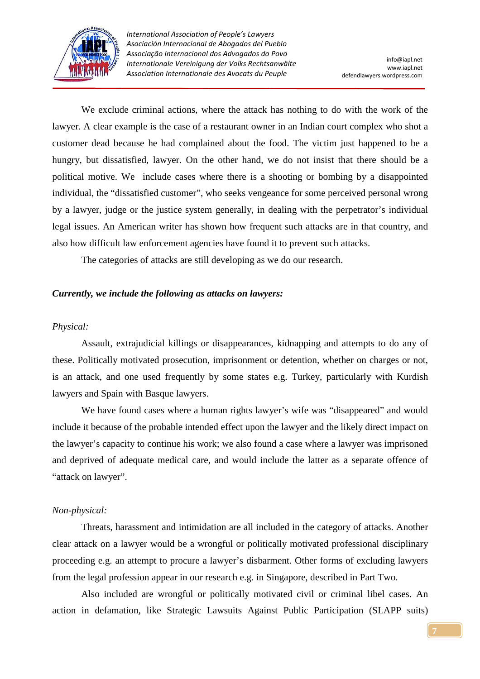

 We exclude criminal actions, where the attack has nothing to do with the work of the lawyer. A clear example is the case of a restaurant owner in an Indian court complex who shot a customer dead because he had complained about the food. The victim just happened to be a hungry, but dissatisfied, lawyer. On the other hand, we do not insist that there should be a political motive. We include cases where there is a shooting or bombing by a disappointed individual, the "dissatisfied customer", who seeks vengeance for some perceived personal wrong by a lawyer, judge or the justice system generally, in dealing with the perpetrator's individual legal issues. An American writer has shown how frequent such attacks are in that country, and also how difficult law enforcement agencies have found it to prevent such attacks.

The categories of attacks are still developing as we do our research.

#### *Currently, we include the following as attacks on lawyers:*

#### *Physical:*

 Assault, extrajudicial killings or disappearances, kidnapping and attempts to do any of these. Politically motivated prosecution, imprisonment or detention, whether on charges or not, is an attack, and one used frequently by some states e.g. Turkey, particularly with Kurdish lawyers and Spain with Basque lawyers.

 We have found cases where a human rights lawyer's wife was "disappeared" and would include it because of the probable intended effect upon the lawyer and the likely direct impact on the lawyer's capacity to continue his work; we also found a case where a lawyer was imprisoned and deprived of adequate medical care, and would include the latter as a separate offence of "attack on lawyer".

#### *Non-physical:*

 Threats, harassment and intimidation are all included in the category of attacks. Another clear attack on a lawyer would be a wrongful or politically motivated professional disciplinary proceeding e.g. an attempt to procure a lawyer's disbarment. Other forms of excluding lawyers from the legal profession appear in our research e.g. in Singapore, described in Part Two.

 Also included are wrongful or politically motivated civil or criminal libel cases. An action in defamation, like Strategic Lawsuits Against Public Participation (SLAPP suits)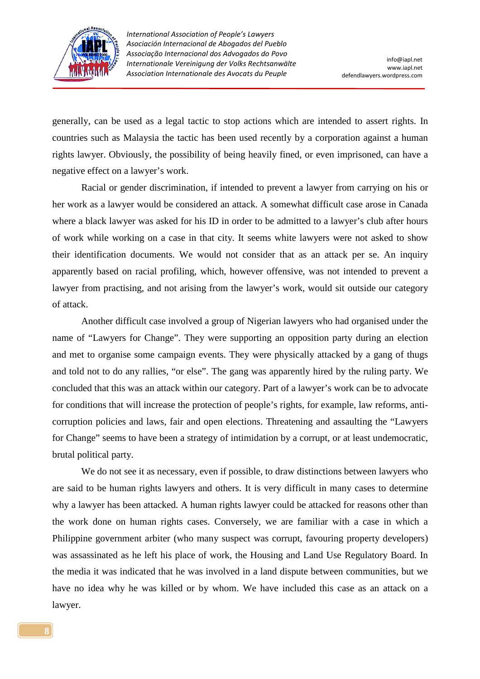

generally, can be used as a legal tactic to stop actions which are intended to assert rights. In countries such as Malaysia the tactic has been used recently by a corporation against a human rights lawyer. Obviously, the possibility of being heavily fined, or even imprisoned, can have a negative effect on a lawyer's work.

 Racial or gender discrimination, if intended to prevent a lawyer from carrying on his or her work as a lawyer would be considered an attack. A somewhat difficult case arose in Canada where a black lawyer was asked for his ID in order to be admitted to a lawyer's club after hours of work while working on a case in that city. It seems white lawyers were not asked to show their identification documents. We would not consider that as an attack per se. An inquiry apparently based on racial profiling, which, however offensive, was not intended to prevent a lawyer from practising, and not arising from the lawyer's work, would sit outside our category of attack.

 Another difficult case involved a group of Nigerian lawyers who had organised under the name of "Lawyers for Change". They were supporting an opposition party during an election and met to organise some campaign events. They were physically attacked by a gang of thugs and told not to do any rallies, "or else". The gang was apparently hired by the ruling party. We concluded that this was an attack within our category. Part of a lawyer's work can be to advocate for conditions that will increase the protection of people's rights, for example, law reforms, anticorruption policies and laws, fair and open elections. Threatening and assaulting the "Lawyers for Change" seems to have been a strategy of intimidation by a corrupt, or at least undemocratic, brutal political party.

 We do not see it as necessary, even if possible, to draw distinctions between lawyers who are said to be human rights lawyers and others. It is very difficult in many cases to determine why a lawyer has been attacked. A human rights lawyer could be attacked for reasons other than the work done on human rights cases. Conversely, we are familiar with a case in which a Philippine government arbiter (who many suspect was corrupt, favouring property developers) was assassinated as he left his place of work, the Housing and Land Use Regulatory Board. In the media it was indicated that he was involved in a land dispute between communities, but we have no idea why he was killed or by whom. We have included this case as an attack on a lawyer.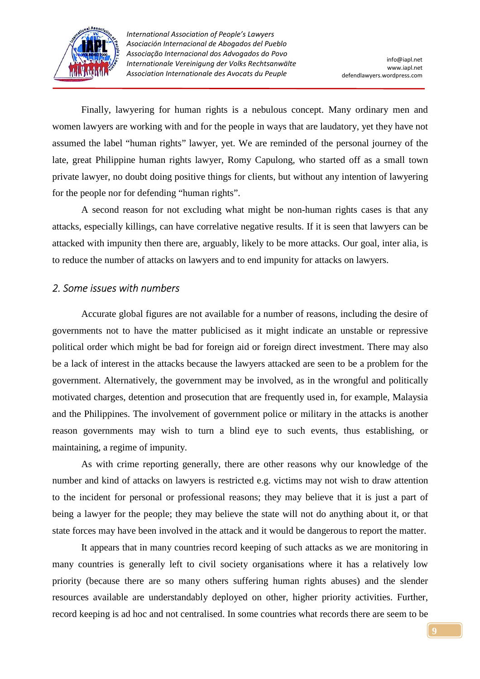

 Finally, lawyering for human rights is a nebulous concept. Many ordinary men and women lawyers are working with and for the people in ways that are laudatory, yet they have not assumed the label "human rights" lawyer, yet. We are reminded of the personal journey of the late, great Philippine human rights lawyer, Romy Capulong, who started off as a small town private lawyer, no doubt doing positive things for clients, but without any intention of lawyering for the people nor for defending "human rights".

 A second reason for not excluding what might be non-human rights cases is that any attacks, especially killings, can have correlative negative results. If it is seen that lawyers can be attacked with impunity then there are, arguably, likely to be more attacks. Our goal, inter alia, is to reduce the number of attacks on lawyers and to end impunity for attacks on lawyers.

#### *2. Some issues with numbers*

 Accurate global figures are not available for a number of reasons, including the desire of governments not to have the matter publicised as it might indicate an unstable or repressive political order which might be bad for foreign aid or foreign direct investment. There may also be a lack of interest in the attacks because the lawyers attacked are seen to be a problem for the government. Alternatively, the government may be involved, as in the wrongful and politically motivated charges, detention and prosecution that are frequently used in, for example, Malaysia and the Philippines. The involvement of government police or military in the attacks is another reason governments may wish to turn a blind eye to such events, thus establishing, or maintaining, a regime of impunity.

 As with crime reporting generally, there are other reasons why our knowledge of the number and kind of attacks on lawyers is restricted e.g. victims may not wish to draw attention to the incident for personal or professional reasons; they may believe that it is just a part of being a lawyer for the people; they may believe the state will not do anything about it, or that state forces may have been involved in the attack and it would be dangerous to report the matter.

 It appears that in many countries record keeping of such attacks as we are monitoring in many countries is generally left to civil society organisations where it has a relatively low priority (because there are so many others suffering human rights abuses) and the slender resources available are understandably deployed on other, higher priority activities. Further, record keeping is ad hoc and not centralised. In some countries what records there are seem to be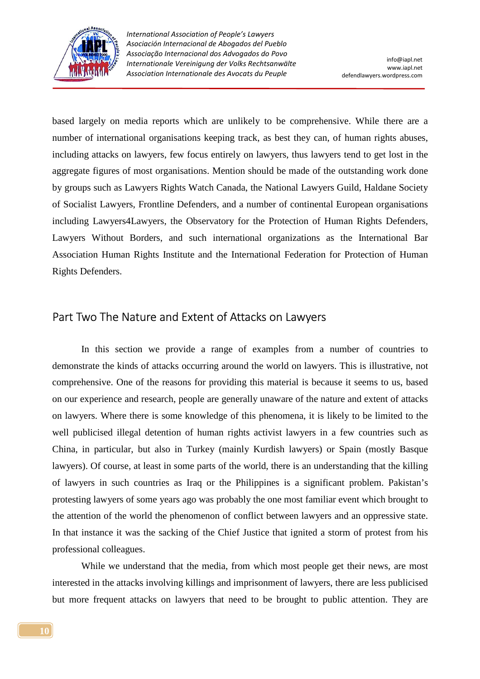

based largely on media reports which are unlikely to be comprehensive. While there are a number of international organisations keeping track, as best they can, of human rights abuses, including attacks on lawyers, few focus entirely on lawyers, thus lawyers tend to get lost in the aggregate figures of most organisations. Mention should be made of the outstanding work done by groups such as Lawyers Rights Watch Canada, the National Lawyers Guild, Haldane Society of Socialist Lawyers, Frontline Defenders, and a number of continental European organisations including Lawyers4Lawyers, the Observatory for the Protection of Human Rights Defenders, Lawyers Without Borders, and such international organizations as the International Bar Association Human Rights Institute and the International Federation for Protection of Human Rights Defenders.

### Part Two The Nature and Extent of Attacks on Lawyers

 In this section we provide a range of examples from a number of countries to demonstrate the kinds of attacks occurring around the world on lawyers. This is illustrative, not comprehensive. One of the reasons for providing this material is because it seems to us, based on our experience and research, people are generally unaware of the nature and extent of attacks on lawyers. Where there is some knowledge of this phenomena, it is likely to be limited to the well publicised illegal detention of human rights activist lawyers in a few countries such as China, in particular, but also in Turkey (mainly Kurdish lawyers) or Spain (mostly Basque lawyers). Of course, at least in some parts of the world, there is an understanding that the killing of lawyers in such countries as Iraq or the Philippines is a significant problem. Pakistan's protesting lawyers of some years ago was probably the one most familiar event which brought to the attention of the world the phenomenon of conflict between lawyers and an oppressive state. In that instance it was the sacking of the Chief Justice that ignited a storm of protest from his professional colleagues.

 While we understand that the media, from which most people get their news, are most interested in the attacks involving killings and imprisonment of lawyers, there are less publicised but more frequent attacks on lawyers that need to be brought to public attention. They are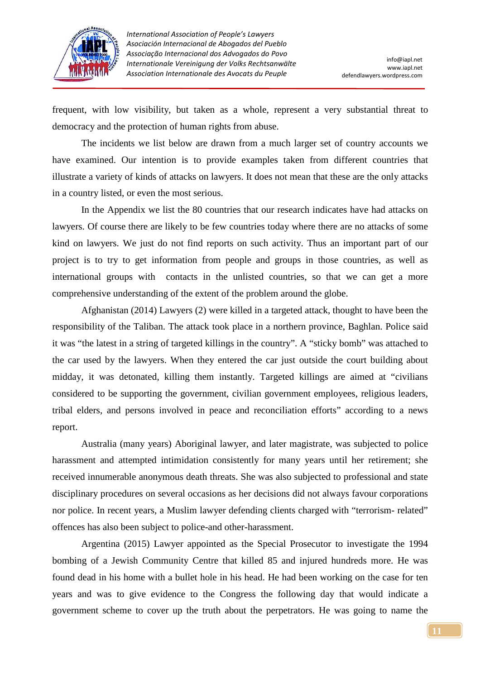

frequent, with low visibility, but taken as a whole, represent a very substantial threat to democracy and the protection of human rights from abuse.

 The incidents we list below are drawn from a much larger set of country accounts we have examined. Our intention is to provide examples taken from different countries that illustrate a variety of kinds of attacks on lawyers. It does not mean that these are the only attacks in a country listed, or even the most serious.

 In the Appendix we list the 80 countries that our research indicates have had attacks on lawyers. Of course there are likely to be few countries today where there are no attacks of some kind on lawyers. We just do not find reports on such activity. Thus an important part of our project is to try to get information from people and groups in those countries, as well as international groups with contacts in the unlisted countries, so that we can get a more comprehensive understanding of the extent of the problem around the globe.

 Afghanistan (2014) Lawyers (2) were killed in a targeted attack, thought to have been the responsibility of the Taliban. The attack took place in a northern province, Baghlan. Police said it was "the latest in a string of targeted killings in the country". A "sticky bomb" was attached to the car used by the lawyers. When they entered the car just outside the court building about midday, it was detonated, killing them instantly. Targeted killings are aimed at "civilians considered to be supporting the government, civilian government employees, religious leaders, tribal elders, and persons involved in peace and reconciliation efforts" according to a news report.

 Australia (many years) Aboriginal lawyer, and later magistrate, was subjected to police harassment and attempted intimidation consistently for many years until her retirement; she received innumerable anonymous death threats. She was also subjected to professional and state disciplinary procedures on several occasions as her decisions did not always favour corporations nor police. In recent years, a Muslim lawyer defending clients charged with "terrorism- related" offences has also been subject to police-and other-harassment.

 Argentina (2015) Lawyer appointed as the Special Prosecutor to investigate the 1994 bombing of a Jewish Community Centre that killed 85 and injured hundreds more. He was found dead in his home with a bullet hole in his head. He had been working on the case for ten years and was to give evidence to the Congress the following day that would indicate a government scheme to cover up the truth about the perpetrators. He was going to name the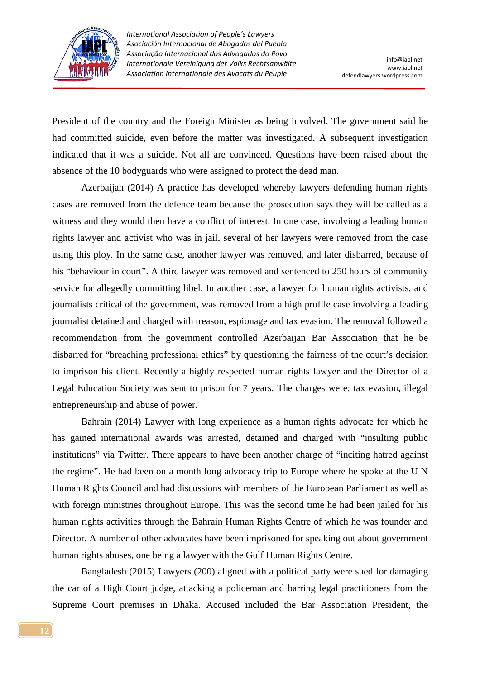

President of the country and the Foreign Minister as being involved. The government said he had committed suicide, even before the matter was investigated. A subsequent investigation indicated that it was a suicide. Not all are convinced. Questions have been raised about the absence of the 10 bodyguards who were assigned to protect the dead man.

 Azerbaijan (2014) A practice has developed whereby lawyers defending human rights cases are removed from the defence team because the prosecution says they will be called as a witness and they would then have a conflict of interest. In one case, involving a leading human rights lawyer and activist who was in jail, several of her lawyers were removed from the case using this ploy. In the same case, another lawyer was removed, and later disbarred, because of his "behaviour in court". A third lawyer was removed and sentenced to 250 hours of community service for allegedly committing libel. In another case, a lawyer for human rights activists, and journalists critical of the government, was removed from a high profile case involving a leading journalist detained and charged with treason, espionage and tax evasion. The removal followed a recommendation from the government controlled Azerbaijan Bar Association that he be disbarred for "breaching professional ethics" by questioning the fairness of the court's decision to imprison his client. Recently a highly respected human rights lawyer and the Director of a Legal Education Society was sent to prison for 7 years. The charges were: tax evasion, illegal entrepreneurship and abuse of power.

 Bahrain (2014) Lawyer with long experience as a human rights advocate for which he has gained international awards was arrested, detained and charged with "insulting public institutions" via Twitter. There appears to have been another charge of "inciting hatred against the regime". He had been on a month long advocacy trip to Europe where he spoke at the U N Human Rights Council and had discussions with members of the European Parliament as well as with foreign ministries throughout Europe. This was the second time he had been jailed for his human rights activities through the Bahrain Human Rights Centre of which he was founder and Director. A number of other advocates have been imprisoned for speaking out about government human rights abuses, one being a lawyer with the Gulf Human Rights Centre.

 Bangladesh (2015) Lawyers (200) aligned with a political party were sued for damaging the car of a High Court judge, attacking a policeman and barring legal practitioners from the Supreme Court premises in Dhaka. Accused included the Bar Association President, the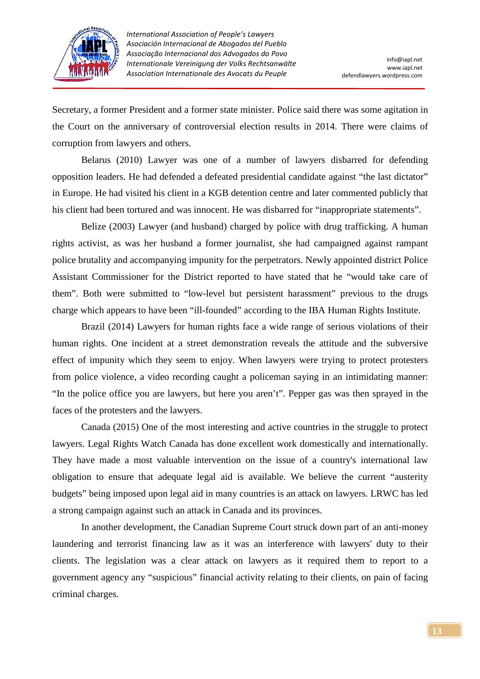

Secretary, a former President and a former state minister. Police said there was some agitation in the Court on the anniversary of controversial election results in 2014. There were claims of corruption from lawyers and others.

 Belarus (2010) Lawyer was one of a number of lawyers disbarred for defending opposition leaders. He had defended a defeated presidential candidate against "the last dictator" in Europe. He had visited his client in a KGB detention centre and later commented publicly that his client had been tortured and was innocent. He was disbarred for "inappropriate statements".

 Belize (2003) Lawyer (and husband) charged by police with drug trafficking. A human rights activist, as was her husband a former journalist, she had campaigned against rampant police brutality and accompanying impunity for the perpetrators. Newly appointed district Police Assistant Commissioner for the District reported to have stated that he "would take care of them". Both were submitted to "low-level but persistent harassment" previous to the drugs charge which appears to have been "ill-founded" according to the IBA Human Rights Institute.

 Brazil (2014) Lawyers for human rights face a wide range of serious violations of their human rights. One incident at a street demonstration reveals the attitude and the subversive effect of impunity which they seem to enjoy. When lawyers were trying to protect protesters from police violence, a video recording caught a policeman saying in an intimidating manner: "In the police office you are lawyers, but here you aren't". Pepper gas was then sprayed in the faces of the protesters and the lawyers.

 Canada (2015) One of the most interesting and active countries in the struggle to protect lawyers. Legal Rights Watch Canada has done excellent work domestically and internationally. They have made a most valuable intervention on the issue of a country's international law obligation to ensure that adequate legal aid is available. We believe the current "austerity budgets" being imposed upon legal aid in many countries is an attack on lawyers. LRWC has led a strong campaign against such an attack in Canada and its provinces.

 In another development, the Canadian Supreme Court struck down part of an anti-money laundering and terrorist financing law as it was an interference with lawyers' duty to their clients. The legislation was a clear attack on lawyers as it required them to report to a government agency any "suspicious" financial activity relating to their clients, on pain of facing criminal charges.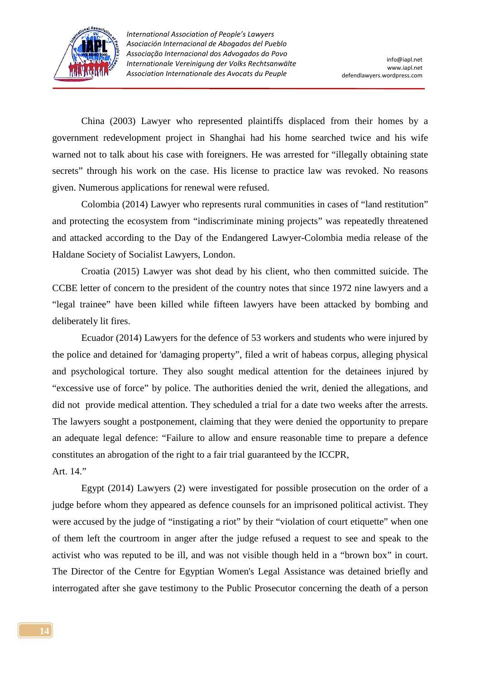

 China (2003) Lawyer who represented plaintiffs displaced from their homes by a government redevelopment project in Shanghai had his home searched twice and his wife warned not to talk about his case with foreigners. He was arrested for "illegally obtaining state secrets" through his work on the case. His license to practice law was revoked. No reasons given. Numerous applications for renewal were refused.

 Colombia (2014) Lawyer who represents rural communities in cases of "land restitution" and protecting the ecosystem from "indiscriminate mining projects" was repeatedly threatened and attacked according to the Day of the Endangered Lawyer-Colombia media release of the Haldane Society of Socialist Lawyers, London.

 Croatia (2015) Lawyer was shot dead by his client, who then committed suicide. The CCBE letter of concern to the president of the country notes that since 1972 nine lawyers and a "legal trainee" have been killed while fifteen lawyers have been attacked by bombing and deliberately lit fires.

 Ecuador (2014) Lawyers for the defence of 53 workers and students who were injured by the police and detained for 'damaging property", filed a writ of habeas corpus, alleging physical and psychological torture. They also sought medical attention for the detainees injured by "excessive use of force" by police. The authorities denied the writ, denied the allegations, and did not provide medical attention. They scheduled a trial for a date two weeks after the arrests. The lawyers sought a postponement, claiming that they were denied the opportunity to prepare an adequate legal defence: "Failure to allow and ensure reasonable time to prepare a defence constitutes an abrogation of the right to a fair trial guaranteed by the ICCPR, Art. 14."

 Egypt (2014) Lawyers (2) were investigated for possible prosecution on the order of a judge before whom they appeared as defence counsels for an imprisoned political activist. They were accused by the judge of "instigating a riot" by their "violation of court etiquette" when one of them left the courtroom in anger after the judge refused a request to see and speak to the activist who was reputed to be ill, and was not visible though held in a "brown box" in court. The Director of the Centre for Egyptian Women's Legal Assistance was detained briefly and interrogated after she gave testimony to the Public Prosecutor concerning the death of a person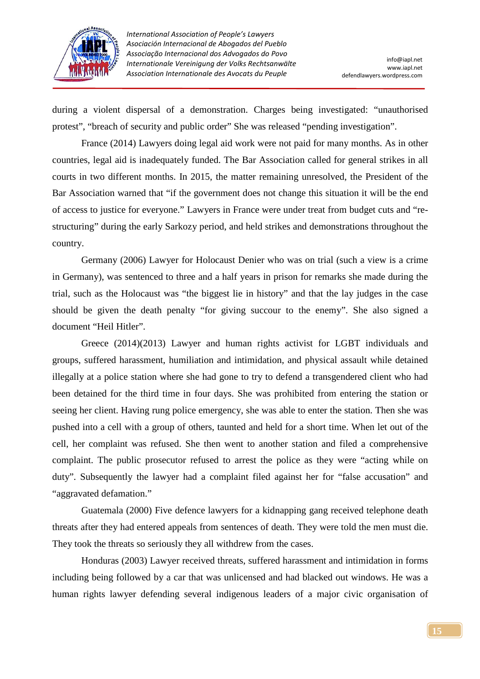

during a violent dispersal of a demonstration. Charges being investigated: "unauthorised protest", "breach of security and public order" She was released "pending investigation".

 France (2014) Lawyers doing legal aid work were not paid for many months. As in other countries, legal aid is inadequately funded. The Bar Association called for general strikes in all courts in two different months. In 2015, the matter remaining unresolved, the President of the Bar Association warned that "if the government does not change this situation it will be the end of access to justice for everyone." Lawyers in France were under treat from budget cuts and "restructuring" during the early Sarkozy period, and held strikes and demonstrations throughout the country.

 Germany (2006) Lawyer for Holocaust Denier who was on trial (such a view is a crime in Germany), was sentenced to three and a half years in prison for remarks she made during the trial, such as the Holocaust was "the biggest lie in history" and that the lay judges in the case should be given the death penalty "for giving succour to the enemy". She also signed a document "Heil Hitler".

 Greece (2014)(2013) Lawyer and human rights activist for LGBT individuals and groups, suffered harassment, humiliation and intimidation, and physical assault while detained illegally at a police station where she had gone to try to defend a transgendered client who had been detained for the third time in four days. She was prohibited from entering the station or seeing her client. Having rung police emergency, she was able to enter the station. Then she was pushed into a cell with a group of others, taunted and held for a short time. When let out of the cell, her complaint was refused. She then went to another station and filed a comprehensive complaint. The public prosecutor refused to arrest the police as they were "acting while on duty". Subsequently the lawyer had a complaint filed against her for "false accusation" and "aggravated defamation."

 Guatemala (2000) Five defence lawyers for a kidnapping gang received telephone death threats after they had entered appeals from sentences of death. They were told the men must die. They took the threats so seriously they all withdrew from the cases.

 Honduras (2003) Lawyer received threats, suffered harassment and intimidation in forms including being followed by a car that was unlicensed and had blacked out windows. He was a human rights lawyer defending several indigenous leaders of a major civic organisation of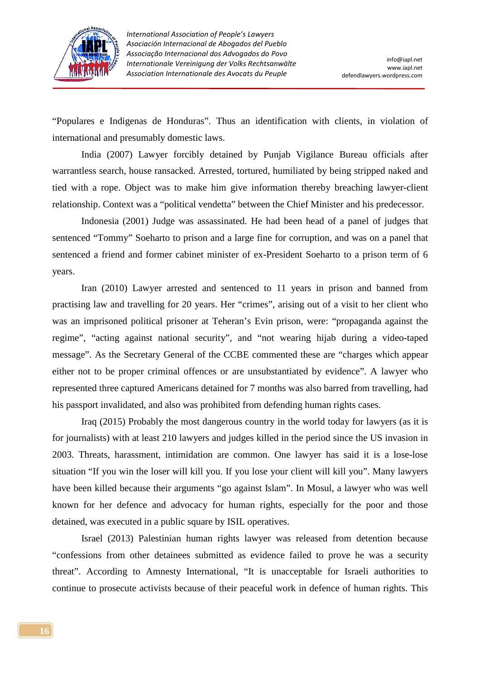

"Populares e Indigenas de Honduras". Thus an identification with clients, in violation of international and presumably domestic laws.

 India (2007) Lawyer forcibly detained by Punjab Vigilance Bureau officials after warrantless search, house ransacked. Arrested, tortured, humiliated by being stripped naked and tied with a rope. Object was to make him give information thereby breaching lawyer-client relationship. Context was a "political vendetta" between the Chief Minister and his predecessor.

 Indonesia (2001) Judge was assassinated. He had been head of a panel of judges that sentenced "Tommy" Soeharto to prison and a large fine for corruption, and was on a panel that sentenced a friend and former cabinet minister of ex-President Soeharto to a prison term of 6 years.

 Iran (2010) Lawyer arrested and sentenced to 11 years in prison and banned from practising law and travelling for 20 years. Her "crimes", arising out of a visit to her client who was an imprisoned political prisoner at Teheran's Evin prison, were: "propaganda against the regime", "acting against national security", and "not wearing hijab during a video-taped message". As the Secretary General of the CCBE commented these are "charges which appear either not to be proper criminal offences or are unsubstantiated by evidence". A lawyer who represented three captured Americans detained for 7 months was also barred from travelling, had his passport invalidated, and also was prohibited from defending human rights cases.

 Iraq (2015) Probably the most dangerous country in the world today for lawyers (as it is for journalists) with at least 210 lawyers and judges killed in the period since the US invasion in 2003. Threats, harassment, intimidation are common. One lawyer has said it is a lose-lose situation "If you win the loser will kill you. If you lose your client will kill you". Many lawyers have been killed because their arguments "go against Islam". In Mosul, a lawyer who was well known for her defence and advocacy for human rights, especially for the poor and those detained, was executed in a public square by ISIL operatives.

 Israel (2013) Palestinian human rights lawyer was released from detention because "confessions from other detainees submitted as evidence failed to prove he was a security threat". According to Amnesty International, "It is unacceptable for Israeli authorities to continue to prosecute activists because of their peaceful work in defence of human rights. This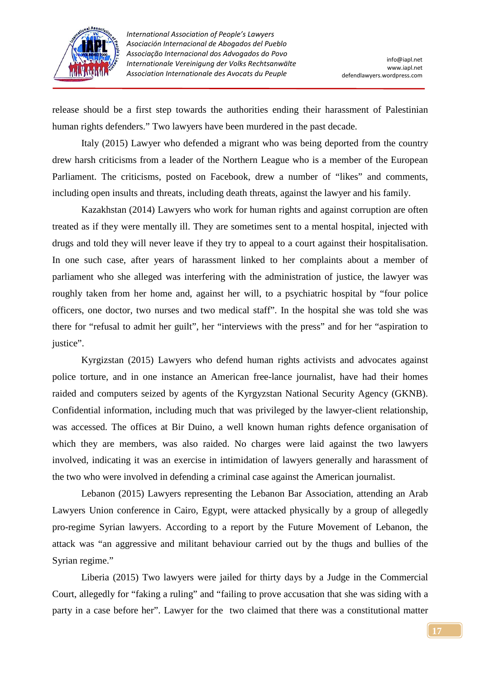

release should be a first step towards the authorities ending their harassment of Palestinian human rights defenders." Two lawyers have been murdered in the past decade.

 Italy (2015) Lawyer who defended a migrant who was being deported from the country drew harsh criticisms from a leader of the Northern League who is a member of the European Parliament. The criticisms, posted on Facebook, drew a number of "likes" and comments, including open insults and threats, including death threats, against the lawyer and his family.

 Kazakhstan (2014) Lawyers who work for human rights and against corruption are often treated as if they were mentally ill. They are sometimes sent to a mental hospital, injected with drugs and told they will never leave if they try to appeal to a court against their hospitalisation. In one such case, after years of harassment linked to her complaints about a member of parliament who she alleged was interfering with the administration of justice, the lawyer was roughly taken from her home and, against her will, to a psychiatric hospital by "four police officers, one doctor, two nurses and two medical staff". In the hospital she was told she was there for "refusal to admit her guilt", her "interviews with the press" and for her "aspiration to justice".

 Kyrgizstan (2015) Lawyers who defend human rights activists and advocates against police torture, and in one instance an American free-lance journalist, have had their homes raided and computers seized by agents of the Kyrgyzstan National Security Agency (GKNB). Confidential information, including much that was privileged by the lawyer-client relationship, was accessed. The offices at Bir Duino, a well known human rights defence organisation of which they are members, was also raided. No charges were laid against the two lawyers involved, indicating it was an exercise in intimidation of lawyers generally and harassment of the two who were involved in defending a criminal case against the American journalist.

 Lebanon (2015) Lawyers representing the Lebanon Bar Association, attending an Arab Lawyers Union conference in Cairo, Egypt, were attacked physically by a group of allegedly pro-regime Syrian lawyers. According to a report by the Future Movement of Lebanon, the attack was "an aggressive and militant behaviour carried out by the thugs and bullies of the Syrian regime."

 Liberia (2015) Two lawyers were jailed for thirty days by a Judge in the Commercial Court, allegedly for "faking a ruling" and "failing to prove accusation that she was siding with a party in a case before her". Lawyer for the two claimed that there was a constitutional matter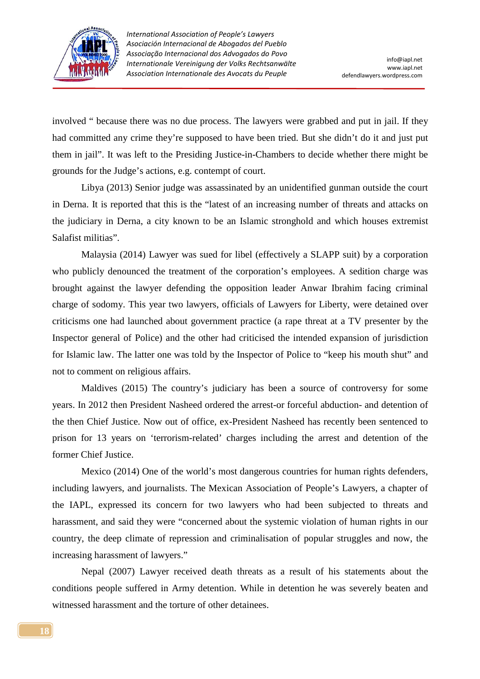

involved " because there was no due process. The lawyers were grabbed and put in jail. If they had committed any crime they're supposed to have been tried. But she didn't do it and just put them in jail". It was left to the Presiding Justice-in-Chambers to decide whether there might be grounds for the Judge's actions, e.g. contempt of court.

 Libya (2013) Senior judge was assassinated by an unidentified gunman outside the court in Derna. It is reported that this is the "latest of an increasing number of threats and attacks on the judiciary in Derna, a city known to be an Islamic stronghold and which houses extremist Salafist militias".

 Malaysia (2014) Lawyer was sued for libel (effectively a SLAPP suit) by a corporation who publicly denounced the treatment of the corporation's employees. A sedition charge was brought against the lawyer defending the opposition leader Anwar Ibrahim facing criminal charge of sodomy. This year two lawyers, officials of Lawyers for Liberty, were detained over criticisms one had launched about government practice (a rape threat at a TV presenter by the Inspector general of Police) and the other had criticised the intended expansion of jurisdiction for Islamic law. The latter one was told by the Inspector of Police to "keep his mouth shut" and not to comment on religious affairs.

 Maldives (2015) The country's judiciary has been a source of controversy for some years. In 2012 then President Nasheed ordered the arrest-or forceful abduction- and detention of the then Chief Justice. Now out of office, ex-President Nasheed has recently been sentenced to prison for 13 years on 'terrorism-related' charges including the arrest and detention of the former Chief Justice.

 Mexico (2014) One of the world's most dangerous countries for human rights defenders, including lawyers, and journalists. The Mexican Association of People's Lawyers, a chapter of the IAPL, expressed its concern for two lawyers who had been subjected to threats and harassment, and said they were "concerned about the systemic violation of human rights in our country, the deep climate of repression and criminalisation of popular struggles and now, the increasing harassment of lawyers."

 Nepal (2007) Lawyer received death threats as a result of his statements about the conditions people suffered in Army detention. While in detention he was severely beaten and witnessed harassment and the torture of other detainees.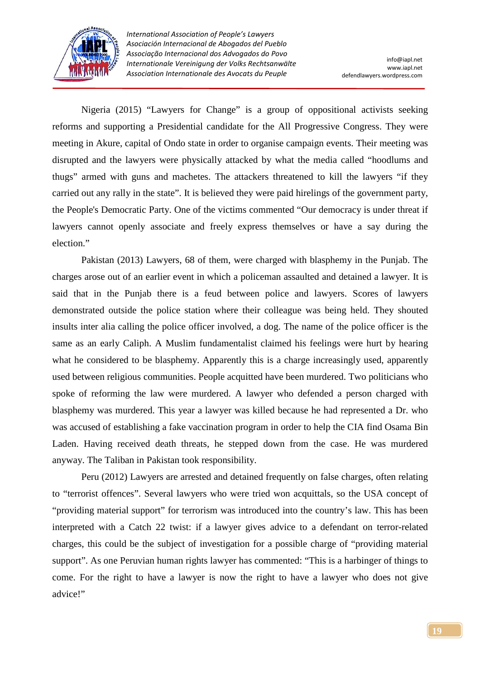

 Nigeria (2015) "Lawyers for Change" is a group of oppositional activists seeking reforms and supporting a Presidential candidate for the All Progressive Congress. They were meeting in Akure, capital of Ondo state in order to organise campaign events. Their meeting was disrupted and the lawyers were physically attacked by what the media called "hoodlums and thugs" armed with guns and machetes. The attackers threatened to kill the lawyers "if they carried out any rally in the state". It is believed they were paid hirelings of the government party, the People's Democratic Party. One of the victims commented "Our democracy is under threat if lawyers cannot openly associate and freely express themselves or have a say during the election."

 Pakistan (2013) Lawyers, 68 of them, were charged with blasphemy in the Punjab. The charges arose out of an earlier event in which a policeman assaulted and detained a lawyer. It is said that in the Punjab there is a feud between police and lawyers. Scores of lawyers demonstrated outside the police station where their colleague was being held. They shouted insults inter alia calling the police officer involved, a dog. The name of the police officer is the same as an early Caliph. A Muslim fundamentalist claimed his feelings were hurt by hearing what he considered to be blasphemy. Apparently this is a charge increasingly used, apparently used between religious communities. People acquitted have been murdered. Two politicians who spoke of reforming the law were murdered. A lawyer who defended a person charged with blasphemy was murdered. This year a lawyer was killed because he had represented a Dr. who was accused of establishing a fake vaccination program in order to help the CIA find Osama Bin Laden. Having received death threats, he stepped down from the case. He was murdered anyway. The Taliban in Pakistan took responsibility.

 Peru (2012) Lawyers are arrested and detained frequently on false charges, often relating to "terrorist offences". Several lawyers who were tried won acquittals, so the USA concept of "providing material support" for terrorism was introduced into the country's law. This has been interpreted with a Catch 22 twist: if a lawyer gives advice to a defendant on terror-related charges, this could be the subject of investigation for a possible charge of "providing material support". As one Peruvian human rights lawyer has commented: "This is a harbinger of things to come. For the right to have a lawyer is now the right to have a lawyer who does not give advice!"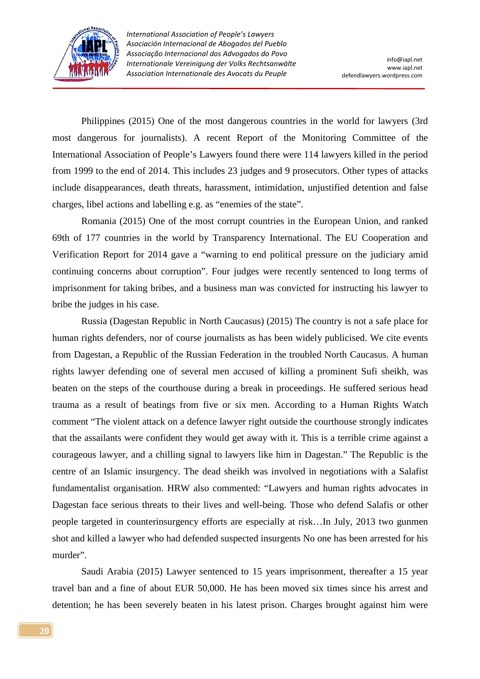

 Philippines (2015) One of the most dangerous countries in the world for lawyers (3rd most dangerous for journalists). A recent Report of the Monitoring Committee of the International Association of People's Lawyers found there were 114 lawyers killed in the period from 1999 to the end of 2014. This includes 23 judges and 9 prosecutors. Other types of attacks include disappearances, death threats, harassment, intimidation, unjustified detention and false charges, libel actions and labelling e.g. as "enemies of the state".

 Romania (2015) One of the most corrupt countries in the European Union, and ranked 69th of 177 countries in the world by Transparency International. The EU Cooperation and Verification Report for 2014 gave a "warning to end political pressure on the judiciary amid continuing concerns about corruption". Four judges were recently sentenced to long terms of imprisonment for taking bribes, and a business man was convicted for instructing his lawyer to bribe the judges in his case.

 Russia (Dagestan Republic in North Caucasus) (2015) The country is not a safe place for human rights defenders, nor of course journalists as has been widely publicised. We cite events from Dagestan, a Republic of the Russian Federation in the troubled North Caucasus. A human rights lawyer defending one of several men accused of killing a prominent Sufi sheikh, was beaten on the steps of the courthouse during a break in proceedings. He suffered serious head trauma as a result of beatings from five or six men. According to a Human Rights Watch comment "The violent attack on a defence lawyer right outside the courthouse strongly indicates that the assailants were confident they would get away with it. This is a terrible crime against a courageous lawyer, and a chilling signal to lawyers like him in Dagestan." The Republic is the centre of an Islamic insurgency. The dead sheikh was involved in negotiations with a Salafist fundamentalist organisation. HRW also commented: "Lawyers and human rights advocates in Dagestan face serious threats to their lives and well-being. Those who defend Salafis or other people targeted in counterinsurgency efforts are especially at risk…In July, 2013 two gunmen shot and killed a lawyer who had defended suspected insurgents No one has been arrested for his murder".

 Saudi Arabia (2015) Lawyer sentenced to 15 years imprisonment, thereafter a 15 year travel ban and a fine of about EUR 50,000. He has been moved six times since his arrest and detention; he has been severely beaten in his latest prison. Charges brought against him were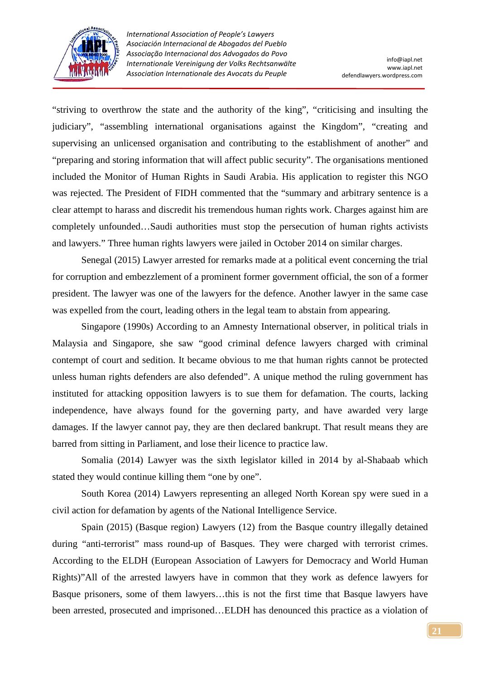

"striving to overthrow the state and the authority of the king", "criticising and insulting the judiciary", "assembling international organisations against the Kingdom", "creating and supervising an unlicensed organisation and contributing to the establishment of another" and "preparing and storing information that will affect public security". The organisations mentioned included the Monitor of Human Rights in Saudi Arabia. His application to register this NGO was rejected. The President of FIDH commented that the "summary and arbitrary sentence is a clear attempt to harass and discredit his tremendous human rights work. Charges against him are completely unfounded…Saudi authorities must stop the persecution of human rights activists and lawyers." Three human rights lawyers were jailed in October 2014 on similar charges.

 Senegal (2015) Lawyer arrested for remarks made at a political event concerning the trial for corruption and embezzlement of a prominent former government official, the son of a former president. The lawyer was one of the lawyers for the defence. Another lawyer in the same case was expelled from the court, leading others in the legal team to abstain from appearing.

 Singapore (1990s) According to an Amnesty International observer, in political trials in Malaysia and Singapore, she saw "good criminal defence lawyers charged with criminal contempt of court and sedition. It became obvious to me that human rights cannot be protected unless human rights defenders are also defended". A unique method the ruling government has instituted for attacking opposition lawyers is to sue them for defamation. The courts, lacking independence, have always found for the governing party, and have awarded very large damages. If the lawyer cannot pay, they are then declared bankrupt. That result means they are barred from sitting in Parliament, and lose their licence to practice law.

 Somalia (2014) Lawyer was the sixth legislator killed in 2014 by al-Shabaab which stated they would continue killing them "one by one".

 South Korea (2014) Lawyers representing an alleged North Korean spy were sued in a civil action for defamation by agents of the National Intelligence Service.

 Spain (2015) (Basque region) Lawyers (12) from the Basque country illegally detained during "anti-terrorist" mass round-up of Basques. They were charged with terrorist crimes. According to the ELDH (European Association of Lawyers for Democracy and World Human Rights)"All of the arrested lawyers have in common that they work as defence lawyers for Basque prisoners, some of them lawyers…this is not the first time that Basque lawyers have been arrested, prosecuted and imprisoned…ELDH has denounced this practice as a violation of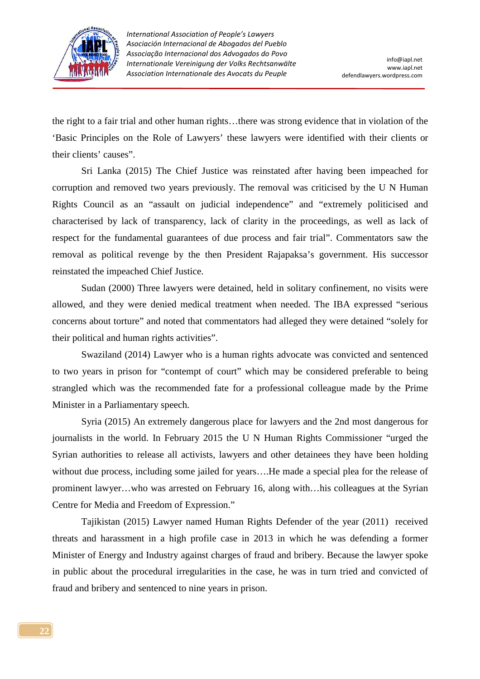

the right to a fair trial and other human rights…there was strong evidence that in violation of the 'Basic Principles on the Role of Lawyers' these lawyers were identified with their clients or their clients' causes".

 Sri Lanka (2015) The Chief Justice was reinstated after having been impeached for corruption and removed two years previously. The removal was criticised by the U N Human Rights Council as an "assault on judicial independence" and "extremely politicised and characterised by lack of transparency, lack of clarity in the proceedings, as well as lack of respect for the fundamental guarantees of due process and fair trial". Commentators saw the removal as political revenge by the then President Rajapaksa's government. His successor reinstated the impeached Chief Justice.

 Sudan (2000) Three lawyers were detained, held in solitary confinement, no visits were allowed, and they were denied medical treatment when needed. The IBA expressed "serious concerns about torture" and noted that commentators had alleged they were detained "solely for their political and human rights activities".

 Swaziland (2014) Lawyer who is a human rights advocate was convicted and sentenced to two years in prison for "contempt of court" which may be considered preferable to being strangled which was the recommended fate for a professional colleague made by the Prime Minister in a Parliamentary speech.

 Syria (2015) An extremely dangerous place for lawyers and the 2nd most dangerous for journalists in the world. In February 2015 the U N Human Rights Commissioner "urged the Syrian authorities to release all activists, lawyers and other detainees they have been holding without due process, including some jailed for years….He made a special plea for the release of prominent lawyer…who was arrested on February 16, along with…his colleagues at the Syrian Centre for Media and Freedom of Expression."

 Tajikistan (2015) Lawyer named Human Rights Defender of the year (2011) received threats and harassment in a high profile case in 2013 in which he was defending a former Minister of Energy and Industry against charges of fraud and bribery. Because the lawyer spoke in public about the procedural irregularities in the case, he was in turn tried and convicted of fraud and bribery and sentenced to nine years in prison.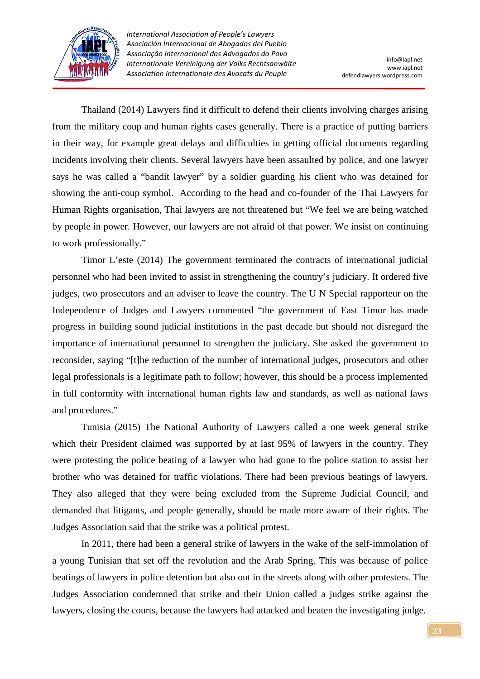

 Thailand (2014) Lawyers find it difficult to defend their clients involving charges arising from the military coup and human rights cases generally. There is a practice of putting barriers in their way, for example great delays and difficulties in getting official documents regarding incidents involving their clients. Several lawyers have been assaulted by police, and one lawyer says he was called a "bandit lawyer" by a soldier guarding his client who was detained for showing the anti-coup symbol. According to the head and co-founder of the Thai Lawyers for Human Rights organisation, Thai lawyers are not threatened but "We feel we are being watched by people in power. However, our lawyers are not afraid of that power. We insist on continuing to work professionally."

 Timor L'este (2014) The government terminated the contracts of international judicial personnel who had been invited to assist in strengthening the country's judiciary. It ordered five judges, two prosecutors and an adviser to leave the country. The U N Special rapporteur on the Independence of Judges and Lawyers commented "the government of East Timor has made progress in building sound judicial institutions in the past decade but should not disregard the importance of international personnel to strengthen the judiciary. She asked the government to reconsider, saying "[t]he reduction of the number of international judges, prosecutors and other legal professionals is a legitimate path to follow; however, this should be a process implemented in full conformity with international human rights law and standards, as well as national laws and procedures."

 Tunisia (2015) The National Authority of Lawyers called a one week general strike which their President claimed was supported by at last 95% of lawyers in the country. They were protesting the police beating of a lawyer who had gone to the police station to assist her brother who was detained for traffic violations. There had been previous beatings of lawyers. They also alleged that they were being excluded from the Supreme Judicial Council, and demanded that litigants, and people generally, should be made more aware of their rights. The Judges Association said that the strike was a political protest.

 In 2011, there had been a general strike of lawyers in the wake of the self-immolation of a young Tunisian that set off the revolution and the Arab Spring. This was because of police beatings of lawyers in police detention but also out in the streets along with other protesters. The Judges Association condemned that strike and their Union called a judges strike against the lawyers, closing the courts, because the lawyers had attacked and beaten the investigating judge.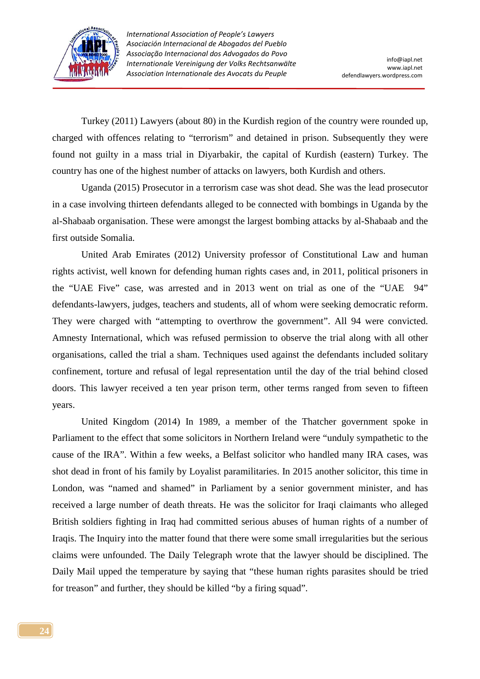

 Turkey (2011) Lawyers (about 80) in the Kurdish region of the country were rounded up, charged with offences relating to "terrorism" and detained in prison. Subsequently they were found not guilty in a mass trial in Diyarbakir, the capital of Kurdish (eastern) Turkey. The country has one of the highest number of attacks on lawyers, both Kurdish and others.

 Uganda (2015) Prosecutor in a terrorism case was shot dead. She was the lead prosecutor in a case involving thirteen defendants alleged to be connected with bombings in Uganda by the al-Shabaab organisation. These were amongst the largest bombing attacks by al-Shabaab and the first outside Somalia.

 United Arab Emirates (2012) University professor of Constitutional Law and human rights activist, well known for defending human rights cases and, in 2011, political prisoners in the "UAE Five" case, was arrested and in 2013 went on trial as one of the "UAE 94" defendants-lawyers, judges, teachers and students, all of whom were seeking democratic reform. They were charged with "attempting to overthrow the government". All 94 were convicted. Amnesty International, which was refused permission to observe the trial along with all other organisations, called the trial a sham. Techniques used against the defendants included solitary confinement, torture and refusal of legal representation until the day of the trial behind closed doors. This lawyer received a ten year prison term, other terms ranged from seven to fifteen years.

 United Kingdom (2014) In 1989, a member of the Thatcher government spoke in Parliament to the effect that some solicitors in Northern Ireland were "unduly sympathetic to the cause of the IRA". Within a few weeks, a Belfast solicitor who handled many IRA cases, was shot dead in front of his family by Loyalist paramilitaries. In 2015 another solicitor, this time in London, was "named and shamed" in Parliament by a senior government minister, and has received a large number of death threats. He was the solicitor for Iraqi claimants who alleged British soldiers fighting in Iraq had committed serious abuses of human rights of a number of Iraqis. The Inquiry into the matter found that there were some small irregularities but the serious claims were unfounded. The Daily Telegraph wrote that the lawyer should be disciplined. The Daily Mail upped the temperature by saying that "these human rights parasites should be tried for treason" and further, they should be killed "by a firing squad".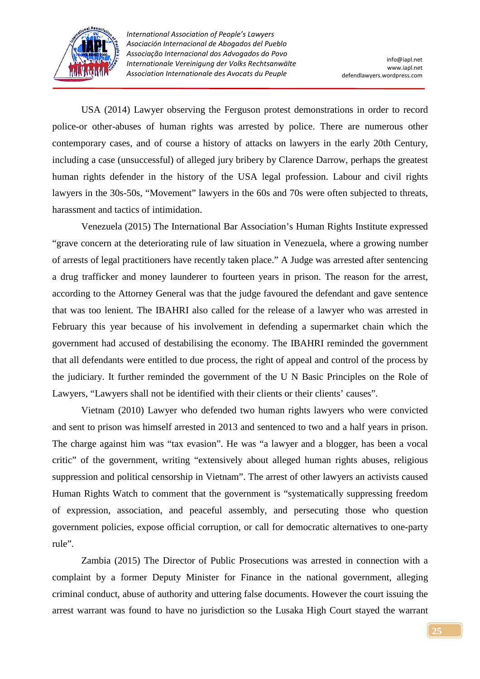

 USA (2014) Lawyer observing the Ferguson protest demonstrations in order to record police-or other-abuses of human rights was arrested by police. There are numerous other contemporary cases, and of course a history of attacks on lawyers in the early 20th Century, including a case (unsuccessful) of alleged jury bribery by Clarence Darrow, perhaps the greatest human rights defender in the history of the USA legal profession. Labour and civil rights lawyers in the 30s-50s, "Movement" lawyers in the 60s and 70s were often subjected to threats, harassment and tactics of intimidation.

 Venezuela (2015) The International Bar Association's Human Rights Institute expressed "grave concern at the deteriorating rule of law situation in Venezuela, where a growing number of arrests of legal practitioners have recently taken place." A Judge was arrested after sentencing a drug trafficker and money launderer to fourteen years in prison. The reason for the arrest, according to the Attorney General was that the judge favoured the defendant and gave sentence that was too lenient. The IBAHRI also called for the release of a lawyer who was arrested in February this year because of his involvement in defending a supermarket chain which the government had accused of destabilising the economy. The IBAHRI reminded the government that all defendants were entitled to due process, the right of appeal and control of the process by the judiciary. It further reminded the government of the U N Basic Principles on the Role of Lawyers, "Lawyers shall not be identified with their clients or their clients' causes".

 Vietnam (2010) Lawyer who defended two human rights lawyers who were convicted and sent to prison was himself arrested in 2013 and sentenced to two and a half years in prison. The charge against him was "tax evasion". He was "a lawyer and a blogger, has been a vocal critic" of the government, writing "extensively about alleged human rights abuses, religious suppression and political censorship in Vietnam". The arrest of other lawyers an activists caused Human Rights Watch to comment that the government is "systematically suppressing freedom of expression, association, and peaceful assembly, and persecuting those who question government policies, expose official corruption, or call for democratic alternatives to one-party rule".

 Zambia (2015) The Director of Public Prosecutions was arrested in connection with a complaint by a former Deputy Minister for Finance in the national government, alleging criminal conduct, abuse of authority and uttering false documents. However the court issuing the arrest warrant was found to have no jurisdiction so the Lusaka High Court stayed the warrant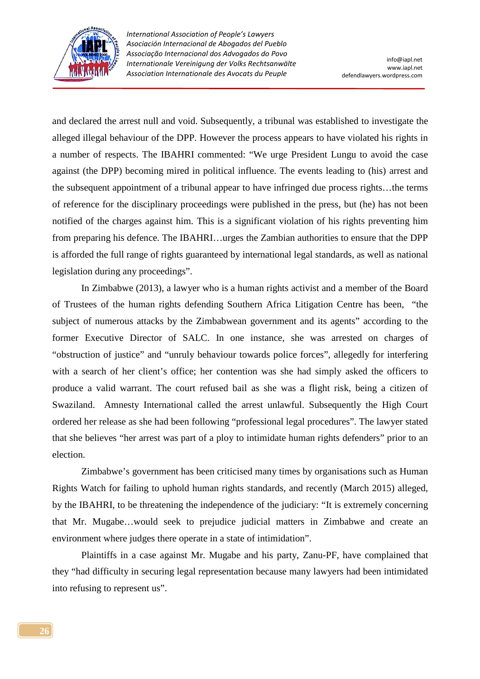

and declared the arrest null and void. Subsequently, a tribunal was established to investigate the alleged illegal behaviour of the DPP. However the process appears to have violated his rights in a number of respects. The IBAHRI commented: "We urge President Lungu to avoid the case against (the DPP) becoming mired in political influence. The events leading to (his) arrest and the subsequent appointment of a tribunal appear to have infringed due process rights…the terms of reference for the disciplinary proceedings were published in the press, but (he) has not been notified of the charges against him. This is a significant violation of his rights preventing him from preparing his defence. The IBAHRI…urges the Zambian authorities to ensure that the DPP is afforded the full range of rights guaranteed by international legal standards, as well as national legislation during any proceedings".

 In Zimbabwe (2013), a lawyer who is a human rights activist and a member of the Board of Trustees of the human rights defending Southern Africa Litigation Centre has been, "the subject of numerous attacks by the Zimbabwean government and its agents" according to the former Executive Director of SALC. In one instance, she was arrested on charges of "obstruction of justice" and "unruly behaviour towards police forces", allegedly for interfering with a search of her client's office; her contention was she had simply asked the officers to produce a valid warrant. The court refused bail as she was a flight risk, being a citizen of Swaziland. Amnesty International called the arrest unlawful. Subsequently the High Court ordered her release as she had been following "professional legal procedures". The lawyer stated that she believes "her arrest was part of a ploy to intimidate human rights defenders" prior to an election.

 Zimbabwe's government has been criticised many times by organisations such as Human Rights Watch for failing to uphold human rights standards, and recently (March 2015) alleged, by the IBAHRI, to be threatening the independence of the judiciary: "It is extremely concerning that Mr. Mugabe…would seek to prejudice judicial matters in Zimbabwe and create an environment where judges there operate in a state of intimidation".

 Plaintiffs in a case against Mr. Mugabe and his party, Zanu-PF, have complained that they "had difficulty in securing legal representation because many lawyers had been intimidated into refusing to represent us".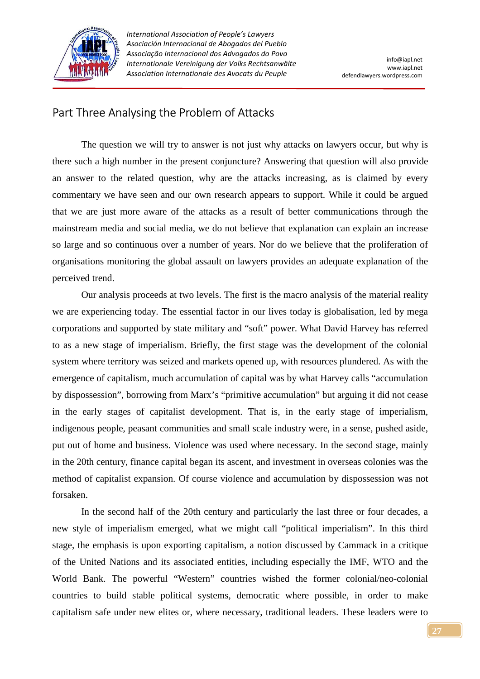

## Part Three Analysing the Problem of Attacks

 The question we will try to answer is not just why attacks on lawyers occur, but why is there such a high number in the present conjuncture? Answering that question will also provide an answer to the related question, why are the attacks increasing, as is claimed by every commentary we have seen and our own research appears to support. While it could be argued that we are just more aware of the attacks as a result of better communications through the mainstream media and social media, we do not believe that explanation can explain an increase so large and so continuous over a number of years. Nor do we believe that the proliferation of organisations monitoring the global assault on lawyers provides an adequate explanation of the perceived trend.

 Our analysis proceeds at two levels. The first is the macro analysis of the material reality we are experiencing today. The essential factor in our lives today is globalisation, led by mega corporations and supported by state military and "soft" power. What David Harvey has referred to as a new stage of imperialism. Briefly, the first stage was the development of the colonial system where territory was seized and markets opened up, with resources plundered. As with the emergence of capitalism, much accumulation of capital was by what Harvey calls "accumulation by dispossession", borrowing from Marx's "primitive accumulation" but arguing it did not cease in the early stages of capitalist development. That is, in the early stage of imperialism, indigenous people, peasant communities and small scale industry were, in a sense, pushed aside, put out of home and business. Violence was used where necessary. In the second stage, mainly in the 20th century, finance capital began its ascent, and investment in overseas colonies was the method of capitalist expansion. Of course violence and accumulation by dispossession was not forsaken.

 In the second half of the 20th century and particularly the last three or four decades, a new style of imperialism emerged, what we might call "political imperialism". In this third stage, the emphasis is upon exporting capitalism, a notion discussed by Cammack in a critique of the United Nations and its associated entities, including especially the IMF, WTO and the World Bank. The powerful "Western" countries wished the former colonial/neo-colonial countries to build stable political systems, democratic where possible, in order to make capitalism safe under new elites or, where necessary, traditional leaders. These leaders were to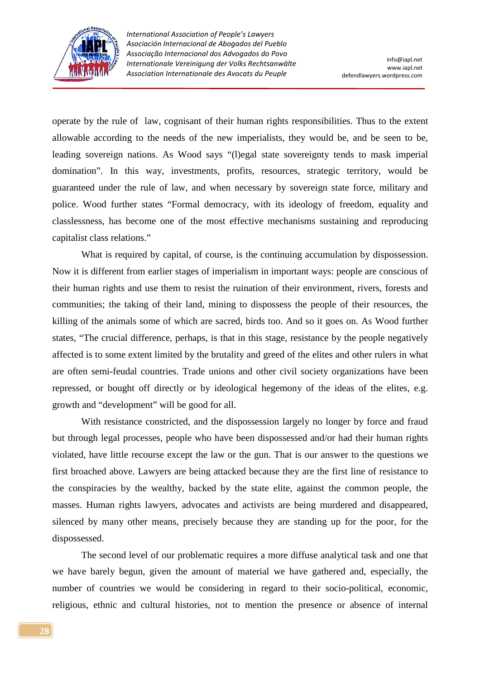

operate by the rule of law, cognisant of their human rights responsibilities. Thus to the extent allowable according to the needs of the new imperialists, they would be, and be seen to be, leading sovereign nations. As Wood says "(l)egal state sovereignty tends to mask imperial domination". In this way, investments, profits, resources, strategic territory, would be guaranteed under the rule of law, and when necessary by sovereign state force, military and police. Wood further states "Formal democracy, with its ideology of freedom, equality and classlessness, has become one of the most effective mechanisms sustaining and reproducing capitalist class relations."

What is required by capital, of course, is the continuing accumulation by dispossession. Now it is different from earlier stages of imperialism in important ways: people are conscious of their human rights and use them to resist the ruination of their environment, rivers, forests and communities; the taking of their land, mining to dispossess the people of their resources, the killing of the animals some of which are sacred, birds too. And so it goes on. As Wood further states, "The crucial difference, perhaps, is that in this stage, resistance by the people negatively affected is to some extent limited by the brutality and greed of the elites and other rulers in what are often semi-feudal countries. Trade unions and other civil society organizations have been repressed, or bought off directly or by ideological hegemony of the ideas of the elites, e.g. growth and "development" will be good for all.

 With resistance constricted, and the dispossession largely no longer by force and fraud but through legal processes, people who have been dispossessed and/or had their human rights violated, have little recourse except the law or the gun. That is our answer to the questions we first broached above. Lawyers are being attacked because they are the first line of resistance to the conspiracies by the wealthy, backed by the state elite, against the common people, the masses. Human rights lawyers, advocates and activists are being murdered and disappeared, silenced by many other means, precisely because they are standing up for the poor, for the dispossessed.

 The second level of our problematic requires a more diffuse analytical task and one that we have barely begun, given the amount of material we have gathered and, especially, the number of countries we would be considering in regard to their socio-political, economic, religious, ethnic and cultural histories, not to mention the presence or absence of internal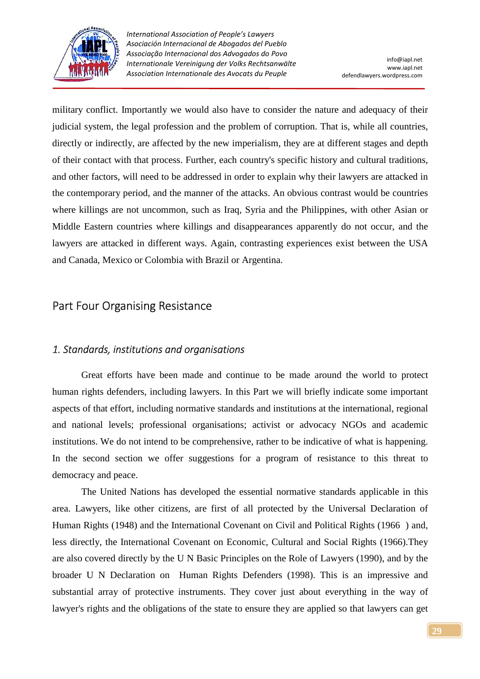

military conflict. Importantly we would also have to consider the nature and adequacy of their judicial system, the legal profession and the problem of corruption. That is, while all countries, directly or indirectly, are affected by the new imperialism, they are at different stages and depth of their contact with that process. Further, each country's specific history and cultural traditions, and other factors, will need to be addressed in order to explain why their lawyers are attacked in the contemporary period, and the manner of the attacks. An obvious contrast would be countries where killings are not uncommon, such as Iraq, Syria and the Philippines, with other Asian or Middle Eastern countries where killings and disappearances apparently do not occur, and the lawyers are attacked in different ways. Again, contrasting experiences exist between the USA and Canada, Mexico or Colombia with Brazil or Argentina.

## Part Four Organising Resistance

#### *1. Standards, institutions and organisations*

 Great efforts have been made and continue to be made around the world to protect human rights defenders, including lawyers. In this Part we will briefly indicate some important aspects of that effort, including normative standards and institutions at the international, regional and national levels; professional organisations; activist or advocacy NGOs and academic institutions. We do not intend to be comprehensive, rather to be indicative of what is happening. In the second section we offer suggestions for a program of resistance to this threat to democracy and peace.

 The United Nations has developed the essential normative standards applicable in this area. Lawyers, like other citizens, are first of all protected by the Universal Declaration of Human Rights (1948) and the International Covenant on Civil and Political Rights (1966 ) and, less directly, the International Covenant on Economic, Cultural and Social Rights (1966).They are also covered directly by the U N Basic Principles on the Role of Lawyers (1990), and by the broader U N Declaration on Human Rights Defenders (1998). This is an impressive and substantial array of protective instruments. They cover just about everything in the way of lawyer's rights and the obligations of the state to ensure they are applied so that lawyers can get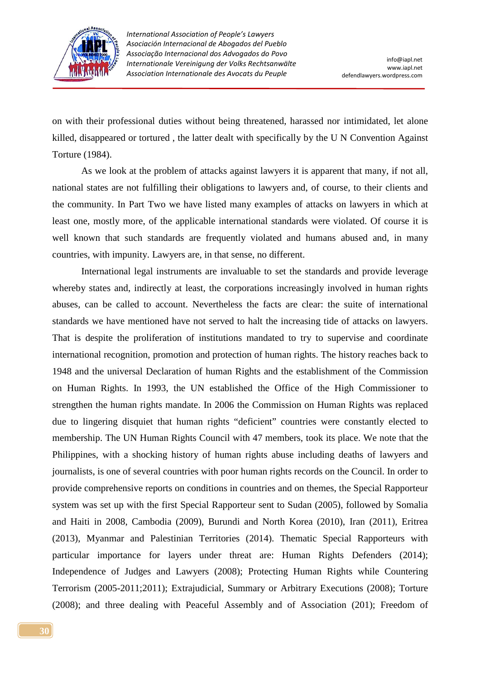

on with their professional duties without being threatened, harassed nor intimidated, let alone killed, disappeared or tortured , the latter dealt with specifically by the U N Convention Against Torture (1984).

 As we look at the problem of attacks against lawyers it is apparent that many, if not all, national states are not fulfilling their obligations to lawyers and, of course, to their clients and the community. In Part Two we have listed many examples of attacks on lawyers in which at least one, mostly more, of the applicable international standards were violated. Of course it is well known that such standards are frequently violated and humans abused and, in many countries, with impunity. Lawyers are, in that sense, no different.

 International legal instruments are invaluable to set the standards and provide leverage whereby states and, indirectly at least, the corporations increasingly involved in human rights abuses, can be called to account. Nevertheless the facts are clear: the suite of international standards we have mentioned have not served to halt the increasing tide of attacks on lawyers. That is despite the proliferation of institutions mandated to try to supervise and coordinate international recognition, promotion and protection of human rights. The history reaches back to 1948 and the universal Declaration of human Rights and the establishment of the Commission on Human Rights. In 1993, the UN established the Office of the High Commissioner to strengthen the human rights mandate. In 2006 the Commission on Human Rights was replaced due to lingering disquiet that human rights "deficient" countries were constantly elected to membership. The UN Human Rights Council with 47 members, took its place. We note that the Philippines, with a shocking history of human rights abuse including deaths of lawyers and journalists, is one of several countries with poor human rights records on the Council. In order to provide comprehensive reports on conditions in countries and on themes, the Special Rapporteur system was set up with the first Special Rapporteur sent to Sudan (2005), followed by Somalia and Haiti in 2008, Cambodia (2009), Burundi and North Korea (2010), Iran (2011), Eritrea (2013), Myanmar and Palestinian Territories (2014). Thematic Special Rapporteurs with particular importance for layers under threat are: Human Rights Defenders (2014); Independence of Judges and Lawyers (2008); Protecting Human Rights while Countering Terrorism (2005-2011;2011); Extrajudicial, Summary or Arbitrary Executions (2008); Torture (2008); and three dealing with Peaceful Assembly and of Association (201); Freedom of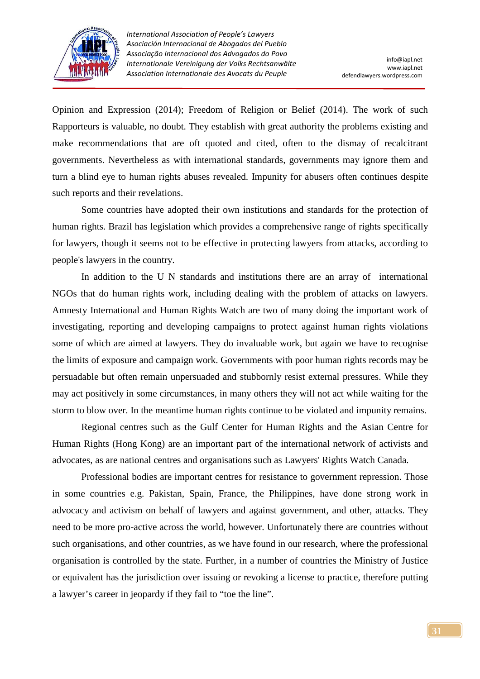

Opinion and Expression (2014); Freedom of Religion or Belief (2014). The work of such Rapporteurs is valuable, no doubt. They establish with great authority the problems existing and make recommendations that are oft quoted and cited, often to the dismay of recalcitrant governments. Nevertheless as with international standards, governments may ignore them and turn a blind eye to human rights abuses revealed. Impunity for abusers often continues despite such reports and their revelations.

 Some countries have adopted their own institutions and standards for the protection of human rights. Brazil has legislation which provides a comprehensive range of rights specifically for lawyers, though it seems not to be effective in protecting lawyers from attacks, according to people's lawyers in the country.

 In addition to the U N standards and institutions there are an array of international NGOs that do human rights work, including dealing with the problem of attacks on lawyers. Amnesty International and Human Rights Watch are two of many doing the important work of investigating, reporting and developing campaigns to protect against human rights violations some of which are aimed at lawyers. They do invaluable work, but again we have to recognise the limits of exposure and campaign work. Governments with poor human rights records may be persuadable but often remain unpersuaded and stubbornly resist external pressures. While they may act positively in some circumstances, in many others they will not act while waiting for the storm to blow over. In the meantime human rights continue to be violated and impunity remains.

 Regional centres such as the Gulf Center for Human Rights and the Asian Centre for Human Rights (Hong Kong) are an important part of the international network of activists and advocates, as are national centres and organisations such as Lawyers' Rights Watch Canada.

 Professional bodies are important centres for resistance to government repression. Those in some countries e.g. Pakistan, Spain, France, the Philippines, have done strong work in advocacy and activism on behalf of lawyers and against government, and other, attacks. They need to be more pro-active across the world, however. Unfortunately there are countries without such organisations, and other countries, as we have found in our research, where the professional organisation is controlled by the state. Further, in a number of countries the Ministry of Justice or equivalent has the jurisdiction over issuing or revoking a license to practice, therefore putting a lawyer's career in jeopardy if they fail to "toe the line".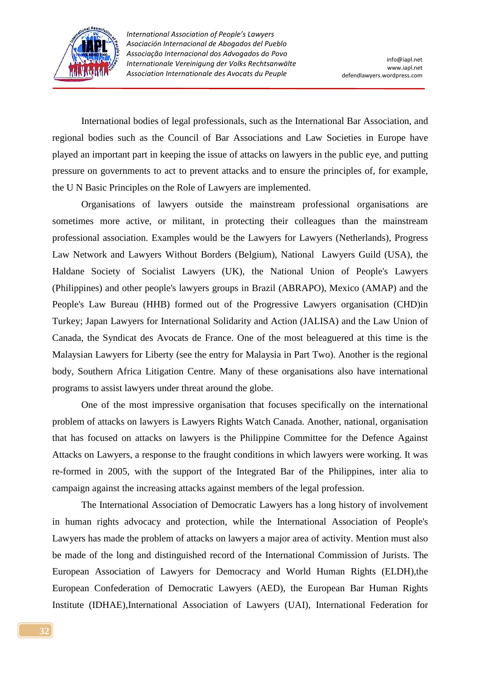

 International bodies of legal professionals, such as the International Bar Association, and regional bodies such as the Council of Bar Associations and Law Societies in Europe have played an important part in keeping the issue of attacks on lawyers in the public eye, and putting pressure on governments to act to prevent attacks and to ensure the principles of, for example, the U N Basic Principles on the Role of Lawyers are implemented.

 Organisations of lawyers outside the mainstream professional organisations are sometimes more active, or militant, in protecting their colleagues than the mainstream professional association. Examples would be the Lawyers for Lawyers (Netherlands), Progress Law Network and Lawyers Without Borders (Belgium), National Lawyers Guild (USA), the Haldane Society of Socialist Lawyers (UK), the National Union of People's Lawyers (Philippines) and other people's lawyers groups in Brazil (ABRAPO), Mexico (AMAP) and the People's Law Bureau (HHB) formed out of the Progressive Lawyers organisation (CHD)in Turkey; Japan Lawyers for International Solidarity and Action (JALISA) and the Law Union of Canada, the Syndicat des Avocats de France. One of the most beleaguered at this time is the Malaysian Lawyers for Liberty (see the entry for Malaysia in Part Two). Another is the regional body, Southern Africa Litigation Centre. Many of these organisations also have international programs to assist lawyers under threat around the globe.

 One of the most impressive organisation that focuses specifically on the international problem of attacks on lawyers is Lawyers Rights Watch Canada. Another, national, organisation that has focused on attacks on lawyers is the Philippine Committee for the Defence Against Attacks on Lawyers, a response to the fraught conditions in which lawyers were working. It was re-formed in 2005, with the support of the Integrated Bar of the Philippines, inter alia to campaign against the increasing attacks against members of the legal profession.

 The International Association of Democratic Lawyers has a long history of involvement in human rights advocacy and protection, while the International Association of People's Lawyers has made the problem of attacks on lawyers a major area of activity. Mention must also be made of the long and distinguished record of the International Commission of Jurists. The European Association of Lawyers for Democracy and World Human Rights (ELDH),the European Confederation of Democratic Lawyers (AED), the European Bar Human Rights Institute (IDHAE),International Association of Lawyers (UAI), International Federation for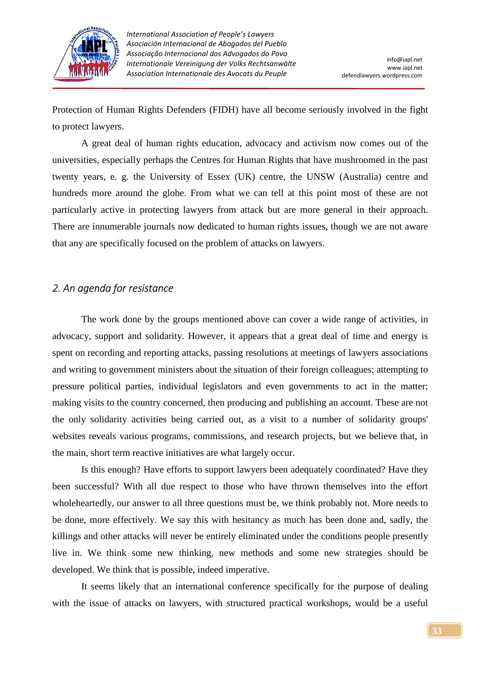

Protection of Human Rights Defenders (FIDH) have all become seriously involved in the fight to protect lawyers.

 A great deal of human rights education, advocacy and activism now comes out of the universities, especially perhaps the Centres for Human Rights that have mushroomed in the past twenty years, e. g. the University of Essex (UK) centre, the UNSW (Australia) centre and hundreds more around the globe. From what we can tell at this point most of these are not particularly active in protecting lawyers from attack but are more general in their approach. There are innumerable journals now dedicated to human rights issues, though we are not aware that any are specifically focused on the problem of attacks on lawyers.

### *2. An agenda for resistance*

 The work done by the groups mentioned above can cover a wide range of activities, in advocacy, support and solidarity. However, it appears that a great deal of time and energy is spent on recording and reporting attacks, passing resolutions at meetings of lawyers associations and writing to government ministers about the situation of their foreign colleagues; attempting to pressure political parties, individual legislators and even governments to act in the matter; making visits to the country concerned, then producing and publishing an account. These are not the only solidarity activities being carried out, as a visit to a number of solidarity groups' websites reveals various programs, commissions, and research projects, but we believe that, in the main, short term reactive initiatives are what largely occur.

 Is this enough? Have efforts to support lawyers been adequately coordinated? Have they been successful? With all due respect to those who have thrown themselves into the effort wholeheartedly, our answer to all three questions must be, we think probably not. More needs to be done, more effectively. We say this with hesitancy as much has been done and, sadly, the killings and other attacks will never be entirely eliminated under the conditions people presently live in. We think some new thinking, new methods and some new strategies should be developed. We think that is possible, indeed imperative.

 It seems likely that an international conference specifically for the purpose of dealing with the issue of attacks on lawyers, with structured practical workshops, would be a useful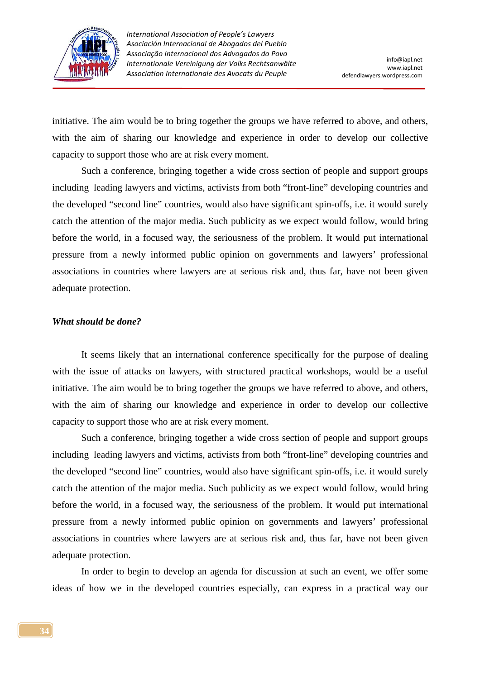

initiative. The aim would be to bring together the groups we have referred to above, and others, with the aim of sharing our knowledge and experience in order to develop our collective capacity to support those who are at risk every moment.

 Such a conference, bringing together a wide cross section of people and support groups including leading lawyers and victims, activists from both "front-line" developing countries and the developed "second line" countries, would also have significant spin-offs, i.e. it would surely catch the attention of the major media. Such publicity as we expect would follow, would bring before the world, in a focused way, the seriousness of the problem. It would put international pressure from a newly informed public opinion on governments and lawyers' professional associations in countries where lawyers are at serious risk and, thus far, have not been given adequate protection.

#### *What should be done?*

 It seems likely that an international conference specifically for the purpose of dealing with the issue of attacks on lawyers, with structured practical workshops, would be a useful initiative. The aim would be to bring together the groups we have referred to above, and others, with the aim of sharing our knowledge and experience in order to develop our collective capacity to support those who are at risk every moment.

 Such a conference, bringing together a wide cross section of people and support groups including leading lawyers and victims, activists from both "front-line" developing countries and the developed "second line" countries, would also have significant spin-offs, i.e. it would surely catch the attention of the major media. Such publicity as we expect would follow, would bring before the world, in a focused way, the seriousness of the problem. It would put international pressure from a newly informed public opinion on governments and lawyers' professional associations in countries where lawyers are at serious risk and, thus far, have not been given adequate protection.

 In order to begin to develop an agenda for discussion at such an event, we offer some ideas of how we in the developed countries especially, can express in a practical way our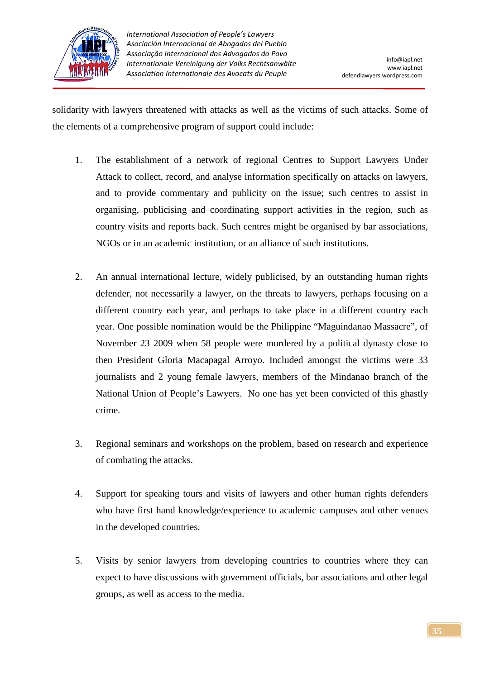

solidarity with lawyers threatened with attacks as well as the victims of such attacks. Some of the elements of a comprehensive program of support could include:

- 1. The establishment of a network of regional Centres to Support Lawyers Under Attack to collect, record, and analyse information specifically on attacks on lawyers, and to provide commentary and publicity on the issue; such centres to assist in organising, publicising and coordinating support activities in the region, such as country visits and reports back. Such centres might be organised by bar associations, NGOs or in an academic institution, or an alliance of such institutions.
- 2. An annual international lecture, widely publicised, by an outstanding human rights defender, not necessarily a lawyer, on the threats to lawyers, perhaps focusing on a different country each year, and perhaps to take place in a different country each year. One possible nomination would be the Philippine "Maguindanao Massacre", of November 23 2009 when 58 people were murdered by a political dynasty close to then President Gloria Macapagal Arroyo. Included amongst the victims were 33 journalists and 2 young female lawyers, members of the Mindanao branch of the National Union of People's Lawyers. No one has yet been convicted of this ghastly crime.
- 3. Regional seminars and workshops on the problem, based on research and experience of combating the attacks.
- 4. Support for speaking tours and visits of lawyers and other human rights defenders who have first hand knowledge/experience to academic campuses and other venues in the developed countries.
- 5. Visits by senior lawyers from developing countries to countries where they can expect to have discussions with government officials, bar associations and other legal groups, as well as access to the media.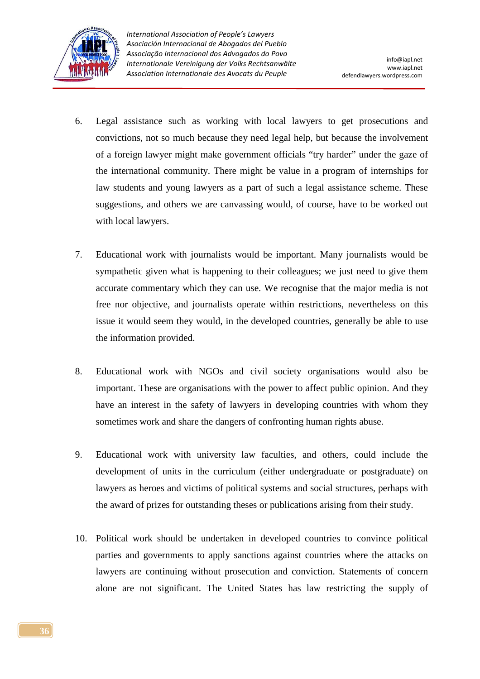

- 6. Legal assistance such as working with local lawyers to get prosecutions and convictions, not so much because they need legal help, but because the involvement of a foreign lawyer might make government officials "try harder" under the gaze of the international community. There might be value in a program of internships for law students and young lawyers as a part of such a legal assistance scheme. These suggestions, and others we are canvassing would, of course, have to be worked out with local lawyers.
- 7. Educational work with journalists would be important. Many journalists would be sympathetic given what is happening to their colleagues; we just need to give them accurate commentary which they can use. We recognise that the major media is not free nor objective, and journalists operate within restrictions, nevertheless on this issue it would seem they would, in the developed countries, generally be able to use the information provided.
- 8. Educational work with NGOs and civil society organisations would also be important. These are organisations with the power to affect public opinion. And they have an interest in the safety of lawyers in developing countries with whom they sometimes work and share the dangers of confronting human rights abuse.
- 9. Educational work with university law faculties, and others, could include the development of units in the curriculum (either undergraduate or postgraduate) on lawyers as heroes and victims of political systems and social structures, perhaps with the award of prizes for outstanding theses or publications arising from their study.
- 10. Political work should be undertaken in developed countries to convince political parties and governments to apply sanctions against countries where the attacks on lawyers are continuing without prosecution and conviction. Statements of concern alone are not significant. The United States has law restricting the supply of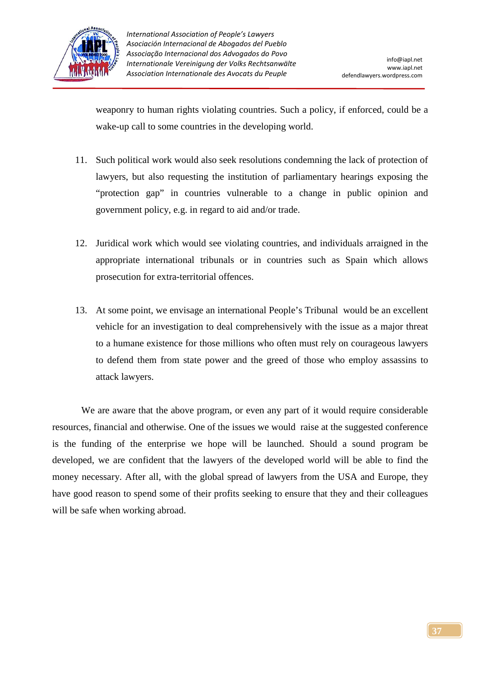

weaponry to human rights violating countries. Such a policy, if enforced, could be a wake-up call to some countries in the developing world.

- 11. Such political work would also seek resolutions condemning the lack of protection of lawyers, but also requesting the institution of parliamentary hearings exposing the "protection gap" in countries vulnerable to a change in public opinion and government policy, e.g. in regard to aid and/or trade.
- 12. Juridical work which would see violating countries, and individuals arraigned in the appropriate international tribunals or in countries such as Spain which allows prosecution for extra-territorial offences.
- 13. At some point, we envisage an international People's Tribunal would be an excellent vehicle for an investigation to deal comprehensively with the issue as a major threat to a humane existence for those millions who often must rely on courageous lawyers to defend them from state power and the greed of those who employ assassins to attack lawyers.

We are aware that the above program, or even any part of it would require considerable resources, financial and otherwise. One of the issues we would raise at the suggested conference is the funding of the enterprise we hope will be launched. Should a sound program be developed, we are confident that the lawyers of the developed world will be able to find the money necessary. After all, with the global spread of lawyers from the USA and Europe, they have good reason to spend some of their profits seeking to ensure that they and their colleagues will be safe when working abroad.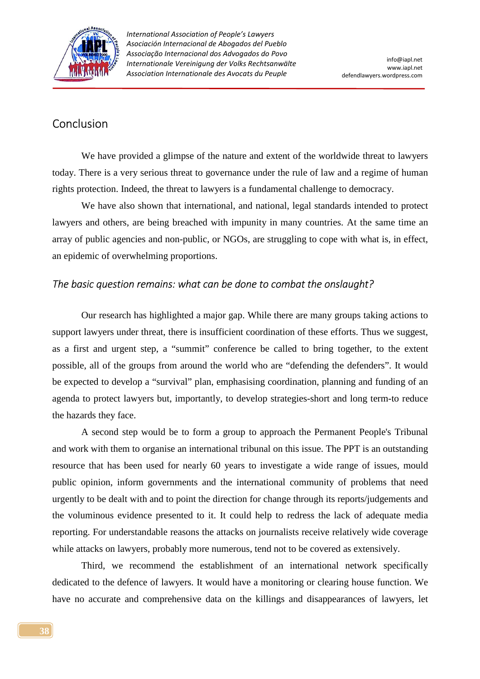

## Conclusion

 We have provided a glimpse of the nature and extent of the worldwide threat to lawyers today. There is a very serious threat to governance under the rule of law and a regime of human rights protection. Indeed, the threat to lawyers is a fundamental challenge to democracy.

 We have also shown that international, and national, legal standards intended to protect lawyers and others, are being breached with impunity in many countries. At the same time an array of public agencies and non-public, or NGOs, are struggling to cope with what is, in effect, an epidemic of overwhelming proportions.

### *The basic question remains: what can be done to combat the onslaught?*

 Our research has highlighted a major gap. While there are many groups taking actions to support lawyers under threat, there is insufficient coordination of these efforts. Thus we suggest, as a first and urgent step, a "summit" conference be called to bring together, to the extent possible, all of the groups from around the world who are "defending the defenders". It would be expected to develop a "survival" plan, emphasising coordination, planning and funding of an agenda to protect lawyers but, importantly, to develop strategies-short and long term-to reduce the hazards they face.

 A second step would be to form a group to approach the Permanent People's Tribunal and work with them to organise an international tribunal on this issue. The PPT is an outstanding resource that has been used for nearly 60 years to investigate a wide range of issues, mould public opinion, inform governments and the international community of problems that need urgently to be dealt with and to point the direction for change through its reports/judgements and the voluminous evidence presented to it. It could help to redress the lack of adequate media reporting. For understandable reasons the attacks on journalists receive relatively wide coverage while attacks on lawyers, probably more numerous, tend not to be covered as extensively.

 Third, we recommend the establishment of an international network specifically dedicated to the defence of lawyers. It would have a monitoring or clearing house function. We have no accurate and comprehensive data on the killings and disappearances of lawyers, let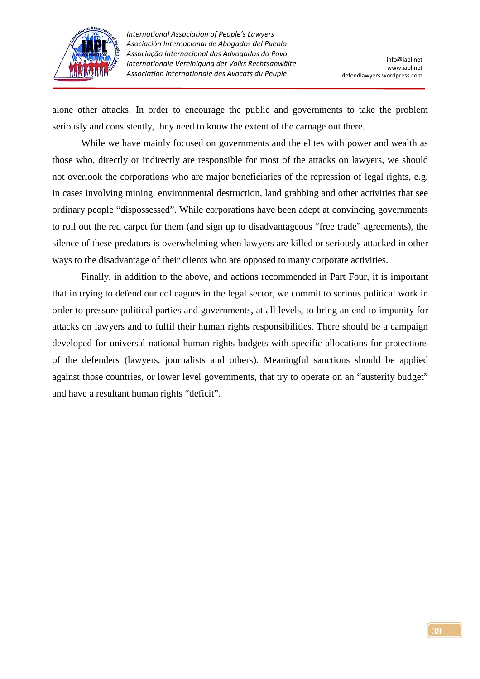

alone other attacks. In order to encourage the public and governments to take the problem seriously and consistently, they need to know the extent of the carnage out there.

 While we have mainly focused on governments and the elites with power and wealth as those who, directly or indirectly are responsible for most of the attacks on lawyers, we should not overlook the corporations who are major beneficiaries of the repression of legal rights, e.g. in cases involving mining, environmental destruction, land grabbing and other activities that see ordinary people "dispossessed". While corporations have been adept at convincing governments to roll out the red carpet for them (and sign up to disadvantageous "free trade" agreements), the silence of these predators is overwhelming when lawyers are killed or seriously attacked in other ways to the disadvantage of their clients who are opposed to many corporate activities.

 Finally, in addition to the above, and actions recommended in Part Four, it is important that in trying to defend our colleagues in the legal sector, we commit to serious political work in order to pressure political parties and governments, at all levels, to bring an end to impunity for attacks on lawyers and to fulfil their human rights responsibilities. There should be a campaign developed for universal national human rights budgets with specific allocations for protections of the defenders (lawyers, journalists and others). Meaningful sanctions should be applied against those countries, or lower level governments, that try to operate on an "austerity budget" and have a resultant human rights "deficit".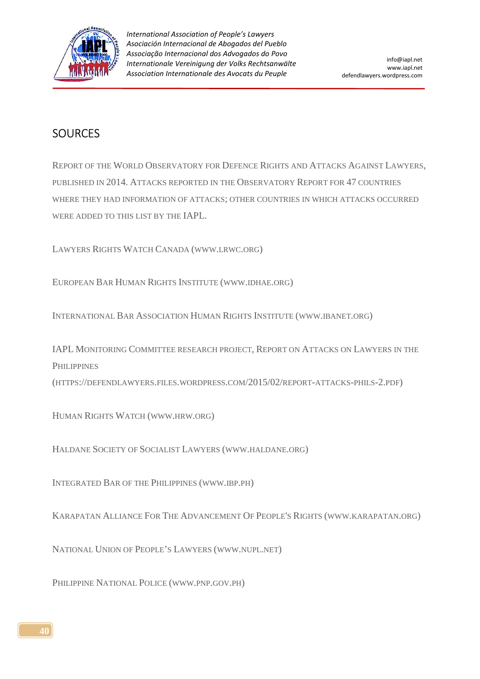

## **SOURCES**

REPORT OF THE WORLD OBSERVATORY FOR DEFENCE RIGHTS AND ATTACKS AGAINST LAWYERS, PUBLISHED IN 2014. ATTACKS REPORTED IN THE OBSERVATORY REPORT FOR 47 COUNTRIES WHERE THEY HAD INFORMATION OF ATTACKS; OTHER COUNTRIES IN WHICH ATTACKS OCCURRED WERE ADDED TO THIS LIST BY THE IAPL.

LAWYERS RIGHTS WATCH CANADA (WWW.LRWC.ORG)

EUROPEAN BAR HUMAN RIGHTS INSTITUTE (WWW.IDHAE.ORG)

INTERNATIONAL BAR ASSOCIATION HUMAN RIGHTS INSTITUTE (WWW.IBANET.ORG)

IAPL MONITORING COMMITTEE RESEARCH PROJECT, REPORT ON ATTACKS ON LAWYERS IN THE **PHILIPPINES** 

(HTTPS://DEFENDLAWYERS.FILES.WORDPRESS.COM/2015/02/REPORT-ATTACKS-PHILS-2.PDF)

HUMAN RIGHTS WATCH (WWW.HRW.ORG)

HALDANE SOCIETY OF SOCIALIST LAWYERS (WWW.HALDANE.ORG)

INTEGRATED BAR OF THE PHILIPPINES (WWW.IBP.PH)

KARAPATAN ALLIANCE FOR THE ADVANCEMENT OF PEOPLE'S RIGHTS (WWW.KARAPATAN.ORG)

NATIONAL UNION OF PEOPLE'S LAWYERS (WWW.NUPL.NET)

PHILIPPINE NATIONAL POLICE (WWW.PNP.GOV.PH)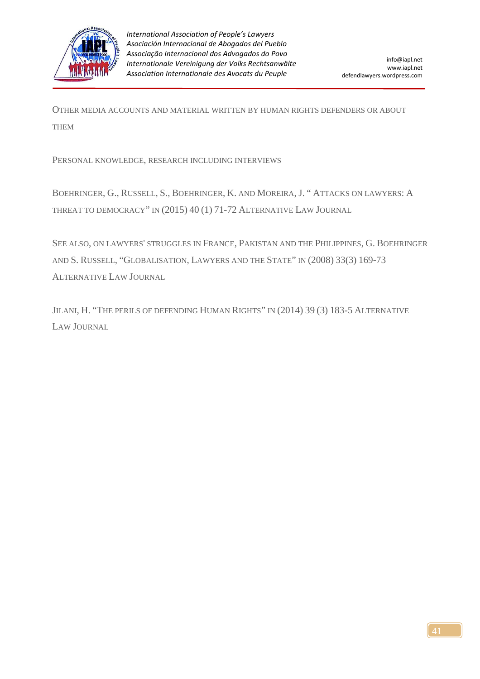

OTHER MEDIA ACCOUNTS AND MATERIAL WRITTEN BY HUMAN RIGHTS DEFENDERS OR ABOUT THEM

PERSONAL KNOWLEDGE, RESEARCH INCLUDING INTERVIEWS

BOEHRINGER, G., RUSSELL, S., BOEHRINGER, K. AND MOREIRA, J. " ATTACKS ON LAWYERS: A THREAT TO DEMOCRACY" IN (2015) 40 (1) 71-72 ALTERNATIVE LAW JOURNAL

SEE ALSO, ON LAWYERS' STRUGGLES IN FRANCE, PAKISTAN AND THE PHILIPPINES, G. BOEHRINGER AND S. RUSSELL, "GLOBALISATION, LAWYERS AND THE STATE" IN (2008) 33(3) 169-73 ALTERNATIVE LAW JOURNAL

JILANI, H. "THE PERILS OF DEFENDING HUMAN RIGHTS" IN (2014) 39 (3) 183-5 ALTERNATIVE LAW JOURNAL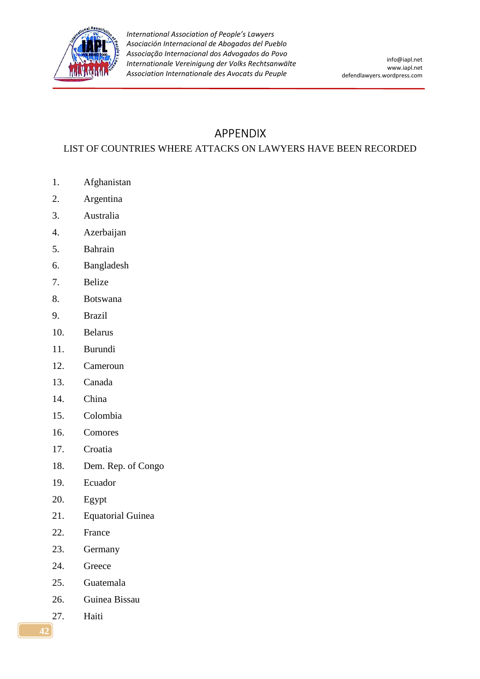

# APPENDIX

### LIST OF COUNTRIES WHERE ATTACKS ON LAWYERS HAVE BEEN RECORDED

- 1. Afghanistan
- 2. Argentina
- 3. Australia
- 4. Azerbaijan
- 5. Bahrain
- 6. Bangladesh
- 7. Belize
- 8. Botswana
- 9. Brazil
- 10. Belarus
- 11. Burundi
- 12. Cameroun
- 13. Canada
- 14. China
- 15. Colombia
- 16. Comores
- 17. Croatia
- 18. Dem. Rep. of Congo
- 19. Ecuador
- 20. Egypt
- 21. Equatorial Guinea
- 22. France
- 23. Germany
- 24. Greece
- 25. Guatemala
- 26. Guinea Bissau
- 27. Haiti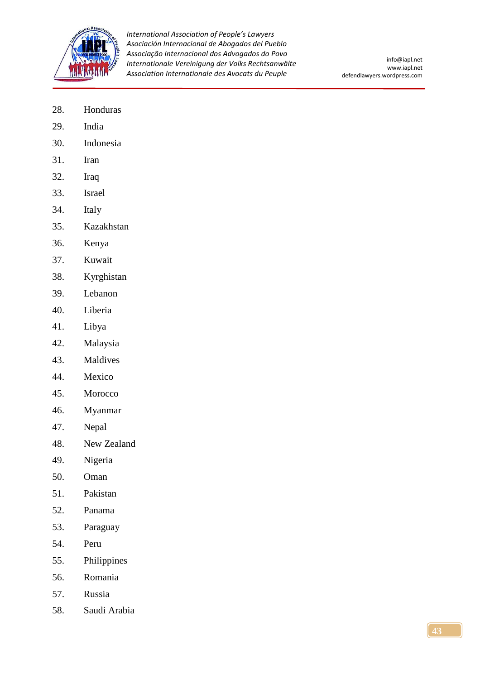

- 28. Honduras
- 29. India
- 30. Indonesia
- 31. Iran
- 32. Iraq
- 33. Israel
- 34. Italy
- 35. Kazakhstan
- 36. Kenya
- 37. Kuwait
- 38. Kyrghistan
- 39. Lebanon
- 40. Liberia
- 41. Libya
- 42. Malaysia
- 43. Maldives
- 44. Mexico
- 45. Morocco
- 46. Myanmar
- 47. Nepal
- 48. New Zealand
- 49. Nigeria
- 50. Oman
- 51. Pakistan
- 52. Panama
- 53. Paraguay
- 54. Peru
- 55. Philippines
- 56. Romania
- 57. Russia
- 58. Saudi Arabia